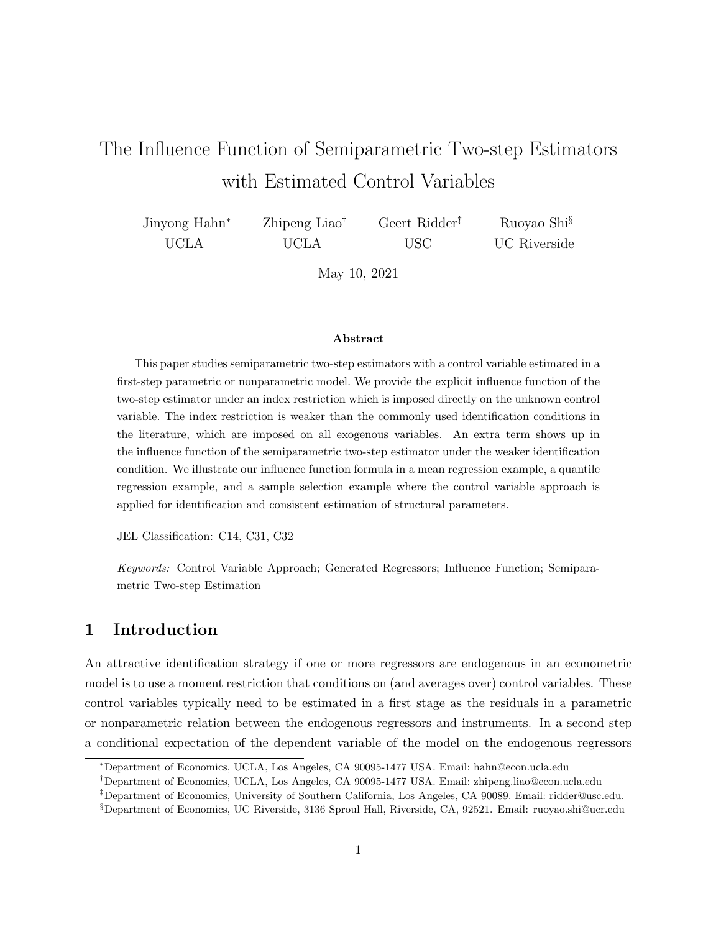# The Influence Function of Semiparametric Two-step Estimators with Estimated Control Variables

| Jinyong Hahn <sup>*</sup> | Zhipeng Liao <sup>†</sup> | Geert Ridder <sup>‡</sup> | Ruoyao Shi <sup>§</sup> |
|---------------------------|---------------------------|---------------------------|-------------------------|
| <b>UCLA</b>               | UCLA                      | USC                       | UC Riverside            |

May 10, 2021

#### Abstract

This paper studies semiparametric two-step estimators with a control variable estimated in a first-step parametric or nonparametric model. We provide the explicit influence function of the two-step estimator under an index restriction which is imposed directly on the unknown control variable. The index restriction is weaker than the commonly used identification conditions in the literature, which are imposed on all exogenous variables. An extra term shows up in the influence function of the semiparametric two-step estimator under the weaker identification condition. We illustrate our influence function formula in a mean regression example, a quantile regression example, and a sample selection example where the control variable approach is applied for identification and consistent estimation of structural parameters.

JEL Classification: C14, C31, C32

Keywords: Control Variable Approach; Generated Regressors; Influence Function; Semiparametric Two-step Estimation

### 1 Introduction

An attractive identification strategy if one or more regressors are endogenous in an econometric model is to use a moment restriction that conditions on (and averages over) control variables. These control variables typically need to be estimated in a first stage as the residuals in a parametric or nonparametric relation between the endogenous regressors and instruments. In a second step a conditional expectation of the dependent variable of the model on the endogenous regressors

<sup>∗</sup>Department of Economics, UCLA, Los Angeles, CA 90095-1477 USA. Email: hahn@econ.ucla.edu

<sup>†</sup>Department of Economics, UCLA, Los Angeles, CA 90095-1477 USA. Email: zhipeng.liao@econ.ucla.edu

<sup>‡</sup>Department of Economics, University of Southern California, Los Angeles, CA 90089. Email: ridder@usc.edu.

<sup>§</sup>Department of Economics, UC Riverside, 3136 Sproul Hall, Riverside, CA, 92521. Email: ruoyao.shi@ucr.edu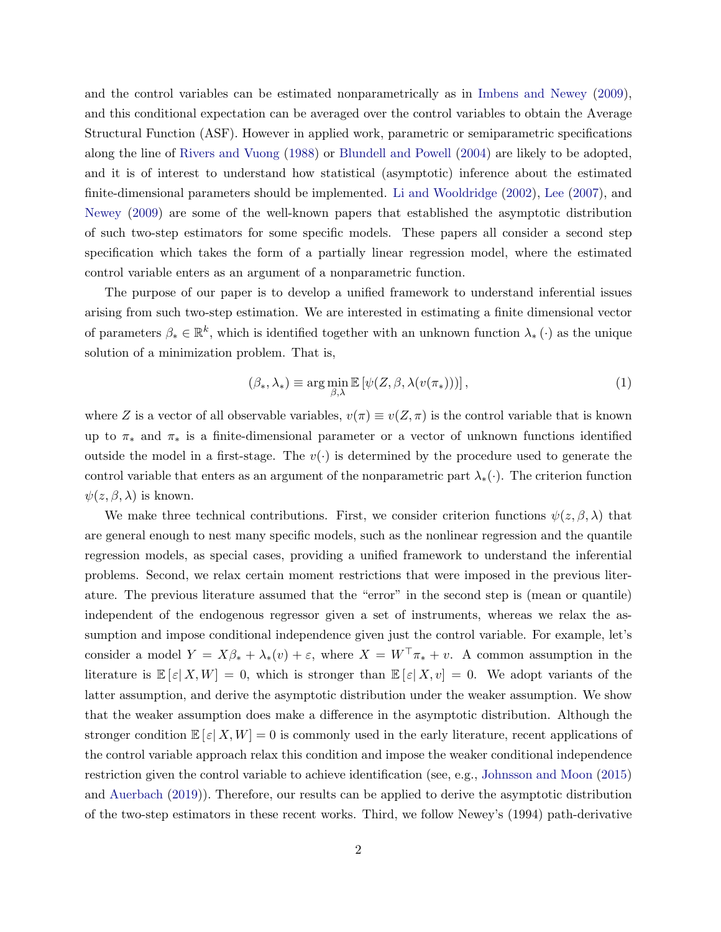and the control variables can be estimated nonparametrically as in [Imbens and Newey](#page-16-0) [\(2009\)](#page-16-0), and this conditional expectation can be averaged over the control variables to obtain the Average Structural Function (ASF). However in applied work, parametric or semiparametric specifications along the line of [Rivers and Vuong](#page-16-1) [\(1988\)](#page-16-1) or [Blundell and Powell](#page-16-2) [\(2004\)](#page-16-2) are likely to be adopted, and it is of interest to understand how statistical (asymptotic) inference about the estimated finite-dimensional parameters should be implemented. [Li and Wooldridge](#page-16-3) [\(2002\)](#page-16-3), [Lee](#page-16-4) [\(2007\)](#page-16-4), and [Newey](#page-16-5) [\(2009\)](#page-16-5) are some of the well-known papers that established the asymptotic distribution of such two-step estimators for some specific models. These papers all consider a second step specification which takes the form of a partially linear regression model, where the estimated control variable enters as an argument of a nonparametric function.

The purpose of our paper is to develop a unified framework to understand inferential issues arising from such two-step estimation. We are interested in estimating a finite dimensional vector of parameters  $\beta_* \in \mathbb{R}^k$ , which is identified together with an unknown function  $\lambda_* (\cdot)$  as the unique solution of a minimization problem. That is,

<span id="page-1-0"></span>
$$
(\beta_*, \lambda_*) \equiv \arg\min_{\beta, \lambda} \mathbb{E}\left[\psi(Z, \beta, \lambda(v(\pi_*)))\right],\tag{1}
$$

where Z is a vector of all observable variables,  $v(\pi) \equiv v(Z, \pi)$  is the control variable that is known up to  $\pi_*$  and  $\pi_*$  is a finite-dimensional parameter or a vector of unknown functions identified outside the model in a first-stage. The  $v(\cdot)$  is determined by the procedure used to generate the control variable that enters as an argument of the nonparametric part  $\lambda_*(\cdot)$ . The criterion function  $\psi(z,\beta,\lambda)$  is known.

We make three technical contributions. First, we consider criterion functions  $\psi(z,\beta,\lambda)$  that are general enough to nest many specific models, such as the nonlinear regression and the quantile regression models, as special cases, providing a unified framework to understand the inferential problems. Second, we relax certain moment restrictions that were imposed in the previous literature. The previous literature assumed that the "error" in the second step is (mean or quantile) independent of the endogenous regressor given a set of instruments, whereas we relax the assumption and impose conditional independence given just the control variable. For example, let's consider a model  $Y = X\beta_* + \lambda_*(v) + \varepsilon$ , where  $X = W^\top \pi_* + v$ . A common assumption in the literature is  $\mathbb{E}[\varepsilon|X,W] = 0$ , which is stronger than  $\mathbb{E}[\varepsilon|X,v] = 0$ . We adopt variants of the latter assumption, and derive the asymptotic distribution under the weaker assumption. We show that the weaker assumption does make a difference in the asymptotic distribution. Although the stronger condition  $\mathbb{E}[\varepsilon|X,W]=0$  is commonly used in the early literature, recent applications of the control variable approach relax this condition and impose the weaker conditional independence restriction given the control variable to achieve identification (see, e.g., [Johnsson and Moon](#page-16-6) [\(2015\)](#page-16-6) and [Auerbach](#page-16-7) [\(2019\)](#page-16-7)). Therefore, our results can be applied to derive the asymptotic distribution of the two-step estimators in these recent works. Third, we follow Newey's (1994) path-derivative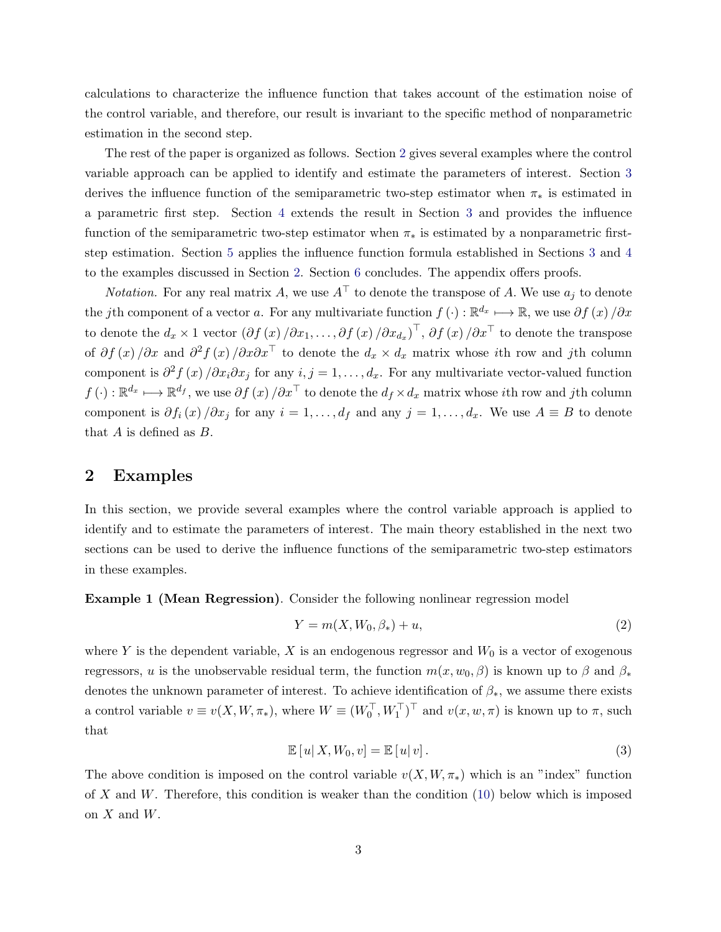calculations to characterize the influence function that takes account of the estimation noise of the control variable, and therefore, our result is invariant to the specific method of nonparametric estimation in the second step.

The rest of the paper is organized as follows. Section [2](#page-2-0) gives several examples where the control variable approach can be applied to identify and estimate the parameters of interest. Section [3](#page-6-0) derives the influence function of the semiparametric two-step estimator when  $\pi_*$  is estimated in a parametric first step. Section [4](#page-9-0) extends the result in Section [3](#page-6-0) and provides the influence function of the semiparametric two-step estimator when  $\pi_*$  is estimated by a nonparametric firststep estimation. Section [5](#page-11-0) applies the influence function formula established in Sections [3](#page-6-0) and [4](#page-9-0) to the examples discussed in Section [2.](#page-2-0) Section [6](#page-15-0) concludes. The appendix offers proofs.

*Notation.* For any real matrix A, we use  $A^{\top}$  to denote the transpose of A. We use  $a_i$  to denote the jth component of a vector a. For any multivariate function  $f(\cdot): \mathbb{R}^{d_x} \longmapsto \mathbb{R}$ , we use  $\partial f(x)/\partial x$ to denote the  $d_x \times 1$  vector  $(\partial f(x)/\partial x_1, \ldots, \partial f(x)/\partial x_{d_x})^{\top}$ ,  $\partial f(x)/\partial x^{\top}$  to denote the transpose of  $\partial f(x)/\partial x$  and  $\partial^2 f(x)/\partial x \partial x^{\top}$  to denote the  $d_x \times d_x$  matrix whose *i*th row and *j*th column component is  $\partial^2 f(x)/\partial x_i \partial x_j$  for any  $i, j = 1, ..., d_x$ . For any multivariate vector-valued function  $f(\cdot): \mathbb{R}^{d_x} \longmapsto \mathbb{R}^{d_f}$ , we use  $\partial f(x) / \partial x^{\top}$  to denote the  $d_f \times d_x$  matrix whose *i*th row and *j*th column component is  $\partial f_i(x)/\partial x_j$  for any  $i=1,\ldots,d_f$  and any  $j=1,\ldots,d_x$ . We use  $A \equiv B$  to denote that  $A$  is defined as  $B$ .

#### <span id="page-2-0"></span>2 Examples

In this section, we provide several examples where the control variable approach is applied to identify and to estimate the parameters of interest. The main theory established in the next two sections can be used to derive the influence functions of the semiparametric two-step estimators in these examples.

Example 1 (Mean Regression). Consider the following nonlinear regression model

<span id="page-2-1"></span>
$$
Y = m(X, W_0, \beta_*) + u,\tag{2}
$$

where Y is the dependent variable, X is an endogenous regressor and  $W_0$  is a vector of exogenous regressors, u is the unobservable residual term, the function  $m(x, w_0, \beta)$  is known up to  $\beta$  and  $\beta_*$ denotes the unknown parameter of interest. To achieve identification of  $\beta_*$ , we assume there exists a control variable  $v \equiv v(X, W, \pi_*)$ , where  $W \equiv (W_0^{\top}, W_1^{\top})^{\top}$  and  $v(x, w, \pi)$  is known up to  $\pi$ , such that

<span id="page-2-2"></span>
$$
\mathbb{E}\left[u\right|X,W_0,v\right]=\mathbb{E}\left[u\right|v\right].\tag{3}
$$

The above condition is imposed on the control variable  $v(X, W, \pi_*)$  which is an "index" function of X and W. Therefore, this condition is weaker than the condition  $(10)$  below which is imposed on  $X$  and  $W$ .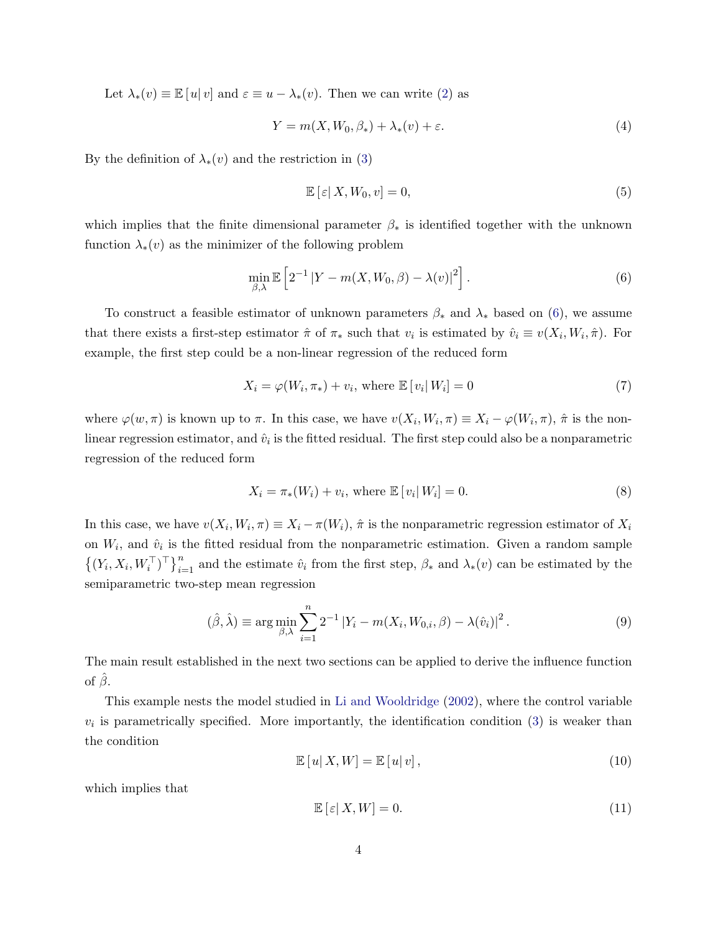Let  $\lambda_*(v) \equiv \mathbb{E}[u|v]$  and  $\varepsilon \equiv u - \lambda_*(v)$ . Then we can write [\(2\)](#page-2-1) as

$$
Y = m(X, W_0, \beta_*) + \lambda_*(v) + \varepsilon. \tag{4}
$$

By the definition of  $\lambda_*(v)$  and the restriction in [\(3\)](#page-2-2)

<span id="page-3-3"></span>
$$
\mathbb{E}\left[\left|\mathcal{E}\right|X,W_0,v\right] = 0,\tag{5}
$$

which implies that the finite dimensional parameter  $\beta_*$  is identified together with the unknown function  $\lambda_*(v)$  as the minimizer of the following problem

<span id="page-3-1"></span>
$$
\min_{\beta,\lambda} \mathbb{E}\left[2^{-1} |Y - m(X, W_0, \beta) - \lambda(v)|^2\right].
$$
\n(6)

To construct a feasible estimator of unknown parameters  $\beta_*$  and  $\lambda_*$  based on [\(6\)](#page-3-1), we assume that there exists a first-step estimator  $\hat{\pi}$  of  $\pi_*$  such that  $v_i$  is estimated by  $\hat{v}_i \equiv v(X_i, W_i, \hat{\pi})$ . For example, the first step could be a non-linear regression of the reduced form

$$
X_i = \varphi(W_i, \pi_*) + v_i, \text{ where } \mathbb{E}\left[v_i \middle| W_i\right] = 0 \tag{7}
$$

where  $\varphi(w,\pi)$  is known up to  $\pi$ . In this case, we have  $v(X_i,W_i,\pi) \equiv X_i - \varphi(W_i,\pi)$ ,  $\hat{\pi}$  is the nonlinear regression estimator, and  $\hat{v}_i$  is the fitted residual. The first step could also be a nonparametric regression of the reduced form

$$
X_i = \pi_*(W_i) + v_i, \text{ where } \mathbb{E}\left[v_i \middle| W_i\right] = 0. \tag{8}
$$

In this case, we have  $v(X_i, W_i, \pi) \equiv X_i - \pi(W_i)$ ,  $\hat{\pi}$  is the nonparametric regression estimator of  $X_i$ on  $W_i$ , and  $\hat{v}_i$  is the fitted residual from the nonparametric estimation. Given a random sample  $\{(Y_i, X_i, W_i^{\top})^{\top}\}_{i=1}^n$  and the estimate  $\hat{v}_i$  from the first step,  $\beta_*$  and  $\lambda_*(v)$  can be estimated by the semiparametric two-step mean regression

$$
(\hat{\beta}, \hat{\lambda}) \equiv \arg \min_{\beta, \lambda} \sum_{i=1}^{n} 2^{-1} |Y_i - m(X_i, W_{0,i}, \beta) - \lambda(\hat{v}_i)|^2.
$$
 (9)

The main result established in the next two sections can be applied to derive the influence function of  $\hat{\beta}$ .

This example nests the model studied in [Li and Wooldridge](#page-16-3) [\(2002\)](#page-16-3), where the control variable  $v_i$  is parametrically specified. More importantly, the identification condition  $(3)$  is weaker than the condition

<span id="page-3-0"></span>
$$
\mathbb{E}\left[u\right|X,W] = \mathbb{E}\left[u\right|v\right],\tag{10}
$$

which implies that

<span id="page-3-2"></span>
$$
\mathbb{E}\left[\varepsilon|X,W\right] = 0.\tag{11}
$$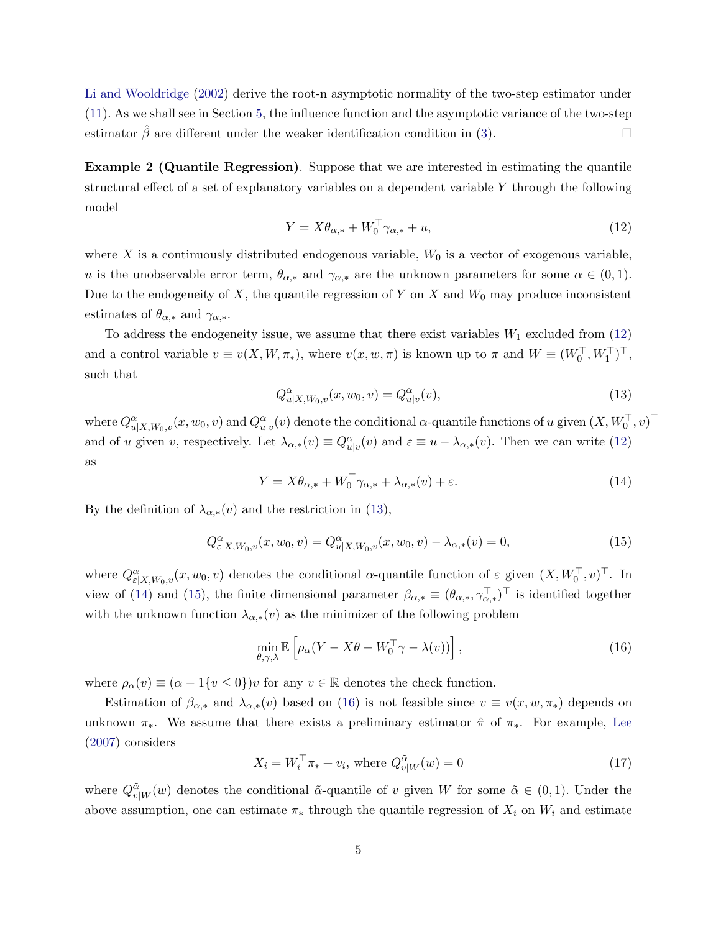[Li and Wooldridge](#page-16-3) [\(2002\)](#page-16-3) derive the root-n asymptotic normality of the two-step estimator under [\(11\)](#page-3-2). As we shall see in Section [5,](#page-11-0) the influence function and the asymptotic variance of the two-step estimator  $\hat{\beta}$  are different under the weaker identification condition in [\(3\)](#page-2-2).

Example 2 (Quantile Regression). Suppose that we are interested in estimating the quantile structural effect of a set of explanatory variables on a dependent variable Y through the following model

<span id="page-4-0"></span>
$$
Y = X\theta_{\alpha,*} + W_0^\top \gamma_{\alpha,*} + u,\tag{12}
$$

where X is a continuously distributed endogenous variable,  $W_0$  is a vector of exogenous variable, u is the unobservable error term,  $\theta_{\alpha,*}$  and  $\gamma_{\alpha,*}$  are the unknown parameters for some  $\alpha \in (0,1)$ . Due to the endogeneity of  $X$ , the quantile regression of Y on X and  $W_0$  may produce inconsistent estimates of  $\theta_{\alpha,*}$  and  $\gamma_{\alpha,*}.$ 

To address the endogeneity issue, we assume that there exist variables  $W_1$  excluded from  $(12)$ and a control variable  $v \equiv v(X, W, \pi_*)$ , where  $v(x, w, \pi)$  is known up to  $\pi$  and  $W \equiv (W_0^{\top}, W_1^{\top})^{\top}$ , such that

<span id="page-4-1"></span>
$$
Q_{u|X,W_0,v}^{\alpha}(x, w_0, v) = Q_{u|v}^{\alpha}(v),
$$
\n(13)

where  $Q_{u|X,W_0,v}^{\alpha}(x,w_0,v)$  and  $Q_{u|v}^{\alpha}(v)$  denote the conditional  $\alpha$ -quantile functions of  $u$  given  $(X,W_0^\top,v)^\top$ and of u given v, respectively. Let  $\lambda_{\alpha,*}(v) \equiv Q_{u|v}^{\alpha}(v)$  and  $\varepsilon \equiv u - \lambda_{\alpha,*}(v)$ . Then we can write [\(12\)](#page-4-0) as

<span id="page-4-2"></span>
$$
Y = X\theta_{\alpha,*} + W_0^{\top} \gamma_{\alpha,*} + \lambda_{\alpha,*}(v) + \varepsilon.
$$
 (14)

By the definition of  $\lambda_{\alpha,*}(v)$  and the restriction in [\(13\)](#page-4-1),

<span id="page-4-3"></span>
$$
Q_{\varepsilon|X,W_0,v}^{\alpha}(x,w_0,v) = Q_{u|X,W_0,v}^{\alpha}(x,w_0,v) - \lambda_{\alpha,*}(v) = 0,
$$
\n(15)

where  $Q_{\varepsilon|X,W_0,v}^{\alpha}(x,w_0,v)$  denotes the conditional  $\alpha$ -quantile function of  $\varepsilon$  given  $(X,W_0^{\top},v)^{\top}$ . In view of [\(14\)](#page-4-2) and [\(15\)](#page-4-3), the finite dimensional parameter  $\beta_{\alpha,*} \equiv (\theta_{\alpha,*}, \gamma_{\alpha,*}^{\top})^{\top}$  is identified together with the unknown function  $\lambda_{\alpha,*}(v)$  as the minimizer of the following problem

<span id="page-4-4"></span>
$$
\min_{\theta,\gamma,\lambda} \mathbb{E}\left[\rho_\alpha (Y - X\theta - W_0^\top \gamma - \lambda(v))\right],\tag{16}
$$

where  $\rho_{\alpha}(v) \equiv (\alpha - 1\{v \le 0\})v$  for any  $v \in \mathbb{R}$  denotes the check function.

Estimation of  $\beta_{\alpha,*}$  and  $\lambda_{\alpha,*}(v)$  based on [\(16\)](#page-4-4) is not feasible since  $v \equiv v(x, w, \pi_*)$  depends on unknown  $\pi_*$ . We assume that there exists a preliminary estimator  $\hat{\pi}$  of  $\pi_*$ . For example, [Lee](#page-16-4) [\(2007\)](#page-16-4) considers

<span id="page-4-5"></span>
$$
X_i = W_i^{\top} \pi_* + v_i, \text{ where } Q_{v|W}^{\tilde{\alpha}}(w) = 0 \tag{17}
$$

where  $Q_{v|W}^{\tilde{\alpha}}(w)$  denotes the conditional  $\tilde{\alpha}$ -quantile of v given W for some  $\tilde{\alpha} \in (0,1)$ . Under the above assumption, one can estimate  $\pi_*$  through the quantile regression of  $X_i$  on  $W_i$  and estimate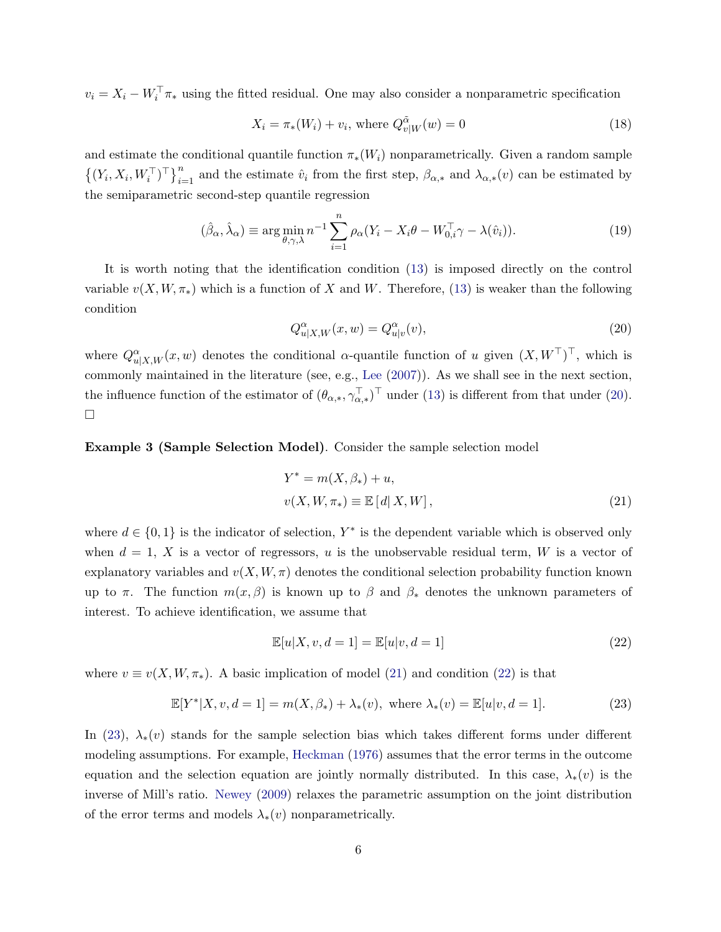$v_i = X_i - W_i^{\top} \pi_*$  using the fitted residual. One may also consider a nonparametric specification

$$
X_i = \pi_*(W_i) + v_i, \text{ where } Q_{v|W}^{\tilde{\alpha}}(w) = 0 \tag{18}
$$

and estimate the conditional quantile function  $\pi_*(W_i)$  nonparametrically. Given a random sample  $\{(Y_i, X_i, W_i^{\top})^{\top}\}_{i=1}^n$  and the estimate  $\hat{v}_i$  from the first step,  $\beta_{\alpha,*}$  and  $\lambda_{\alpha,*}(v)$  can be estimated by the semiparametric second-step quantile regression

$$
(\hat{\beta}_{\alpha}, \hat{\lambda}_{\alpha}) \equiv \arg \min_{\theta, \gamma, \lambda} n^{-1} \sum_{i=1}^{n} \rho_{\alpha} (Y_i - X_i \theta - W_{0,i}^{\top} \gamma - \lambda(\hat{v}_i)). \tag{19}
$$

It is worth noting that the identification condition [\(13\)](#page-4-1) is imposed directly on the control variable  $v(X, W, \pi_*)$  which is a function of X and W. Therefore, [\(13\)](#page-4-1) is weaker than the following condition

<span id="page-5-0"></span>
$$
Q_{u|X,W}^{\alpha}(x,w) = Q_{u|v}^{\alpha}(v),\tag{20}
$$

where  $Q_{u|X,W}^{\alpha}(x,w)$  denotes the conditional  $\alpha$ -quantile function of u given  $(X,W^{\top})^{\top}$ , which is commonly maintained in the literature (see, e.g., [Lee](#page-16-4) [\(2007\)](#page-16-4)). As we shall see in the next section, the influence function of the estimator of  $(\theta_{\alpha,*}, \gamma_{\alpha,*}^\top)^\top$  under [\(13\)](#page-4-1) is different from that under [\(20\)](#page-5-0).  $\Box$ 

Example 3 (Sample Selection Model). Consider the sample selection model

<span id="page-5-1"></span>
$$
Y^* = m(X, \beta_*) + u,
$$
  

$$
v(X, W, \pi_*) \equiv \mathbb{E}[d|X, W],
$$
 (21)

where  $d \in \{0, 1\}$  is the indicator of selection,  $Y^*$  is the dependent variable which is observed only when  $d = 1$ , X is a vector of regressors, u is the unobservable residual term, W is a vector of explanatory variables and  $v(X, W, \pi)$  denotes the conditional selection probability function known up to  $\pi$ . The function  $m(x, \beta)$  is known up to  $\beta$  and  $\beta_*$  denotes the unknown parameters of interest. To achieve identification, we assume that

<span id="page-5-2"></span>
$$
\mathbb{E}[u|X,v,d=1] = \mathbb{E}[u|v,d=1]
$$
\n(22)

where  $v \equiv v(X, W, \pi_*)$ . A basic implication of model [\(21\)](#page-5-1) and condition [\(22\)](#page-5-2) is that

<span id="page-5-3"></span>
$$
\mathbb{E}[Y^*|X, v, d=1] = m(X, \beta_*) + \lambda_*(v), \text{ where } \lambda_*(v) = \mathbb{E}[u|v, d=1]. \tag{23}
$$

In [\(23\)](#page-5-3),  $\lambda_*(v)$  stands for the sample selection bias which takes different forms under different modeling assumptions. For example, [Heckman](#page-16-8) [\(1976\)](#page-16-8) assumes that the error terms in the outcome equation and the selection equation are jointly normally distributed. In this case,  $\lambda_*(v)$  is the inverse of Mill's ratio. [Newey](#page-16-5) [\(2009\)](#page-16-5) relaxes the parametric assumption on the joint distribution of the error terms and models  $\lambda_*(v)$  nonparametrically.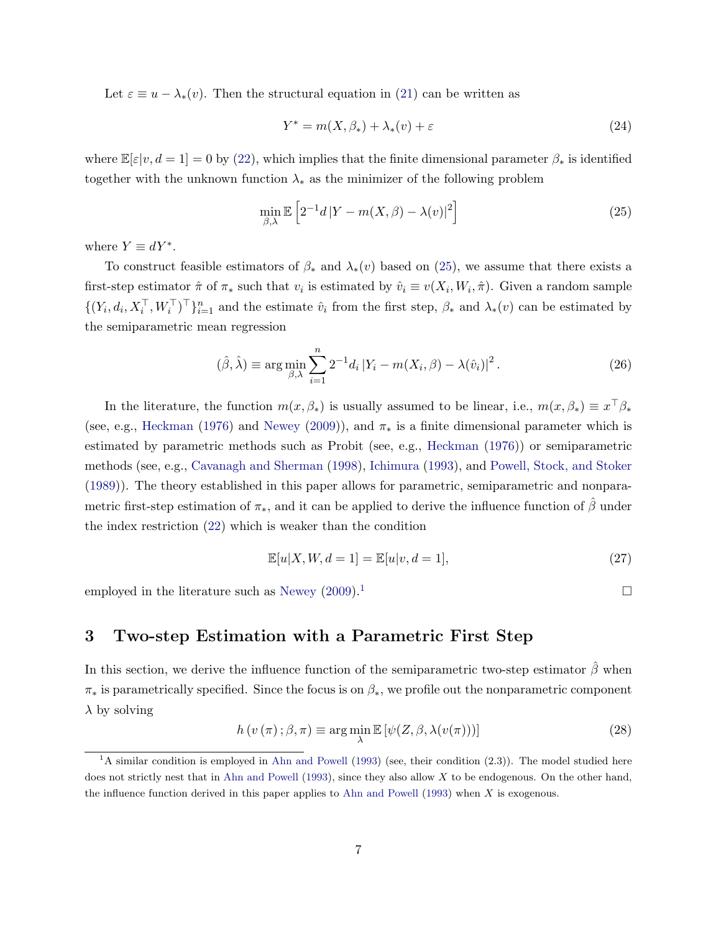Let  $\varepsilon \equiv u - \lambda_*(v)$ . Then the structural equation in [\(21\)](#page-5-1) can be written as

$$
Y^* = m(X, \beta_*) + \lambda_*(v) + \varepsilon \tag{24}
$$

where  $\mathbb{E}[\varepsilon|v, d=1] = 0$  by [\(22\)](#page-5-2), which implies that the finite dimensional parameter  $\beta_*$  is identified together with the unknown function  $\lambda_*$  as the minimizer of the following problem

<span id="page-6-1"></span>
$$
\min_{\beta,\lambda} \mathbb{E}\left[2^{-1}d|Y - m(X,\beta) - \lambda(v)|^2\right] \tag{25}
$$

where  $Y \equiv dY^*$ .

To construct feasible estimators of  $\beta_*$  and  $\lambda_*(v)$  based on [\(25\)](#page-6-1), we assume that there exists a first-step estimator  $\hat{\pi}$  of  $\pi_*$  such that  $v_i$  is estimated by  $\hat{v}_i \equiv v(X_i, W_i, \hat{\pi})$ . Given a random sample  $\{(Y_i, d_i, X_i^{\top}, W_i^{\top})^{\top}\}_{i=1}^n$  and the estimate  $\hat{v}_i$  from the first step,  $\beta_*$  and  $\lambda_*(v)$  can be estimated by the semiparametric mean regression

$$
(\hat{\beta}, \hat{\lambda}) \equiv \arg \min_{\beta, \lambda} \sum_{i=1}^{n} 2^{-1} d_i |Y_i - m(X_i, \beta) - \lambda(\hat{v}_i)|^2.
$$
 (26)

In the literature, the function  $m(x, \beta_*)$  is usually assumed to be linear, i.e.,  $m(x, \beta_*) \equiv x^\top \beta_*$ (see, e.g., [Heckman](#page-16-8) [\(1976\)](#page-16-8) and [Newey](#page-16-5) [\(2009\)](#page-16-5)), and  $\pi_*$  is a finite dimensional parameter which is estimated by parametric methods such as Probit (see, e.g., [Heckman](#page-16-8) [\(1976\)](#page-16-8)) or semiparametric methods (see, e.g., [Cavanagh and Sherman](#page-16-9) [\(1998\)](#page-16-9), [Ichimura](#page-16-10) [\(1993\)](#page-16-10), and [Powell, Stock, and Stoker](#page-16-11) [\(1989\)](#page-16-11)). The theory established in this paper allows for parametric, semiparametric and nonparametric first-step estimation of  $\pi_*$ , and it can be applied to derive the influence function of  $\hat{\beta}$  under the index restriction [\(22\)](#page-5-2) which is weaker than the condition

<span id="page-6-3"></span>
$$
\mathbb{E}[u|X, W, d=1] = \mathbb{E}[u|v, d=1],\tag{27}
$$

employed in the literature such as [Newey](#page-16-5)  $(2009)^{1}$  $(2009)^{1}$  $(2009)^{1}$  $(2009)^{1}$ 

### <span id="page-6-0"></span>3 Two-step Estimation with a Parametric First Step

In this section, we derive the influence function of the semiparametric two-step estimator  $\hat{\beta}$  when  $\pi_*$  is parametrically specified. Since the focus is on  $\beta_*$ , we profile out the nonparametric component  $\lambda$  by solving

$$
h(v(\pi); \beta, \pi) \equiv \arg\min_{\lambda} \mathbb{E}\left[\psi(Z, \beta, \lambda(v(\pi)))\right]
$$
 (28)

<span id="page-6-2"></span> ${}^{1}$ A similar condition is employed in [Ahn and Powell](#page-16-12) [\(1993\)](#page-16-12) (see, their condition (2.3)). The model studied here does not strictly nest that in [Ahn and Powell](#page-16-12) [\(1993\)](#page-16-12), since they also allow  $X$  to be endogenous. On the other hand, the influence function derived in this paper applies to [Ahn and Powell](#page-16-12) [\(1993\)](#page-16-12) when X is exogenous.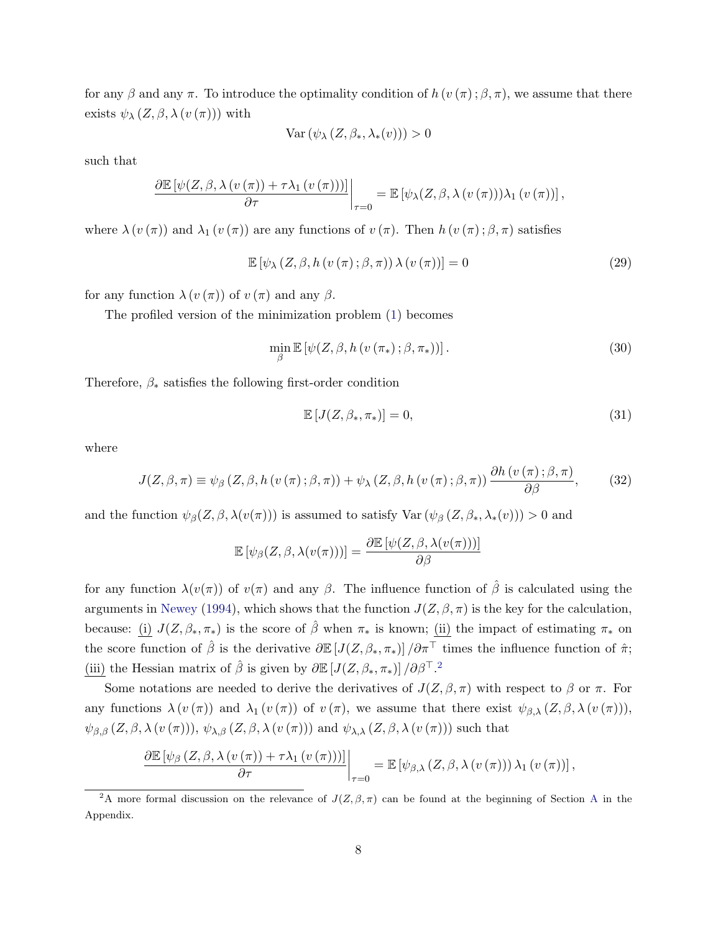for any  $\beta$  and any  $\pi$ . To introduce the optimality condition of  $h(v(\pi);\beta,\pi)$ , we assume that there exists  $\psi_{\lambda} (Z, \beta, \lambda (v(\pi)))$  with

$$
\text{Var}\left(\psi_{\lambda}\left(Z,\beta_*,\lambda_*(v)\right)\right)>0
$$

such that

$$
\frac{\partial \mathbb{E}\left[\psi(Z,\beta,\lambda(v(\pi))+\tau\lambda_1(v(\pi)))\right]}{\partial \tau}\bigg|_{\tau=0} = \mathbb{E}\left[\psi_\lambda(Z,\beta,\lambda(v(\pi)))\lambda_1(v(\pi))\right],
$$

where  $\lambda(v(\pi))$  and  $\lambda_1(v(\pi))$  are any functions of  $v(\pi)$ . Then  $h(v(\pi);\beta,\pi)$  satisfies

<span id="page-7-1"></span>
$$
\mathbb{E}\left[\psi_{\lambda}\left(Z,\beta,h\left(v\left(\pi\right);\beta,\pi\right)\right)\lambda\left(v\left(\pi\right)\right)\right]=0\tag{29}
$$

for any function  $\lambda(v(\pi))$  of  $v(\pi)$  and any  $\beta$ .

The profiled version of the minimization problem [\(1\)](#page-1-0) becomes

$$
\min_{\beta} \mathbb{E}\left[\psi(Z,\beta,h\left(v\left(\pi_*\right);\beta,\pi_*\right))\right].\tag{30}
$$

Therefore,  $\beta_*$  satisfies the following first-order condition

<span id="page-7-2"></span>
$$
\mathbb{E}\left[J(Z,\beta_*,\pi_*)\right] = 0,\tag{31}
$$

where

<span id="page-7-3"></span>
$$
J(Z, \beta, \pi) \equiv \psi_{\beta} (Z, \beta, h (v(\pi); \beta, \pi)) + \psi_{\lambda} (Z, \beta, h (v(\pi); \beta, \pi)) \frac{\partial h (v(\pi); \beta, \pi)}{\partial \beta}, \tag{32}
$$

and the function  $\psi_{\beta}(Z,\beta,\lambda(v(\pi)))$  is assumed to satisfy  $\text{Var}(\psi_{\beta}(Z,\beta_*,\lambda_*(v))) > 0$  and

$$
\mathbb{E}\left[\psi_{\beta}(Z,\beta,\lambda(v(\pi)))\right]=\frac{\partial\mathbb{E}\left[\psi(Z,\beta,\lambda(v(\pi)))\right]}{\partial\beta}
$$

for any function  $\lambda(v(\pi))$  of  $v(\pi)$  and any  $\beta$ . The influence function of  $\hat{\beta}$  is calculated using the arguments in [Newey](#page-16-13) [\(1994\)](#page-16-13), which shows that the function  $J(Z, \beta, \pi)$  is the key for the calculation, because: (i)  $J(Z, \beta_*, \pi_*)$  is the score of  $\hat{\beta}$  when  $\pi_*$  is known; (ii) the impact of estimating  $\pi_*$  on the score function of  $\hat{\beta}$  is the derivative  $\partial \mathbb{E}[J(Z,\beta_*,\pi_*)]/\partial \pi^{\top}$  times the influence function of  $\hat{\pi}$ ; (iii) the Hessian matrix of  $\hat{\beta}$  is given by  $\partial \mathbb{E}[J(Z,\beta_*,\pi_*)]/\partial \beta^{T}$ .<sup>[2](#page-7-0)</sup>

Some notations are needed to derive the derivatives of  $J(Z,\beta,\pi)$  with respect to  $\beta$  or  $\pi$ . For any functions  $\lambda(v(\pi))$  and  $\lambda_1(v(\pi))$  of  $v(\pi)$ , we assume that there exist  $\psi_{\beta,\lambda}(Z,\beta,\lambda(v(\pi)))$ ,  $\psi_{\beta,\beta}(Z,\beta,\lambda(v(\pi))), \psi_{\lambda,\beta}(Z,\beta,\lambda(v(\pi)))$  and  $\psi_{\lambda,\lambda}(Z,\beta,\lambda(v(\pi)))$  such that

$$
\frac{\partial \mathbb{E}\left[\psi_{\beta}\left(Z,\beta,\lambda\left(v\left(\pi\right)\right)+\tau\lambda_{1}\left(v\left(\pi\right)\right)\right)\right]}{\partial \tau}\bigg|_{\tau=0} = \mathbb{E}\left[\psi_{\beta,\lambda}\left(Z,\beta,\lambda\left(v\left(\pi\right)\right)\right)\lambda_{1}\left(v\left(\pi\right)\right)\right],
$$

<span id="page-7-0"></span><sup>&</sup>lt;sup>2</sup>[A](#page-17-0) more formal discussion on the relevance of  $J(Z, \beta, \pi)$  can be found at the beginning of Section A in the Appendix.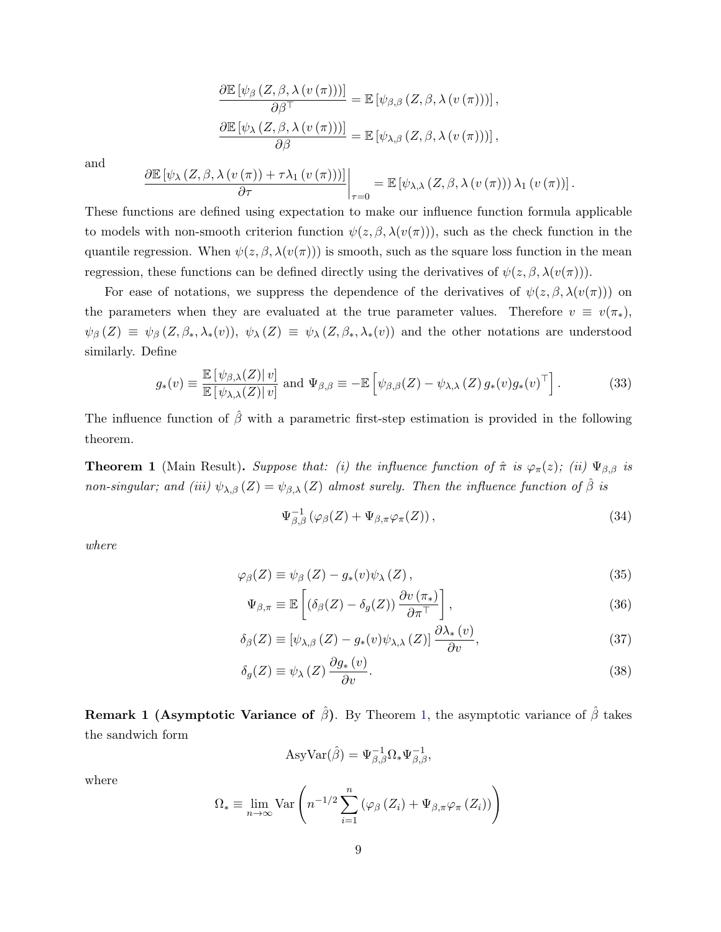$$
\frac{\partial \mathbb{E} [\psi_{\beta} (Z, \beta, \lambda (v (\pi)))]}{\partial \beta^{T}} = \mathbb{E} [\psi_{\beta, \beta} (Z, \beta, \lambda (v (\pi)))] ,
$$

$$
\frac{\partial \mathbb{E} [\psi_{\lambda} (Z, \beta, \lambda (v (\pi)))]}{\partial \beta} = \mathbb{E} [\psi_{\lambda, \beta} (Z, \beta, \lambda (v (\pi)))] ,
$$

and

$$
\frac{\partial \mathbb{E}\left[\psi_{\lambda}\left(Z,\beta,\lambda\left(v\left(\pi\right)\right)+\tau\lambda_{1}\left(v\left(\pi\right)\right)\right)\right]}{\partial \tau}\bigg|_{\tau=0}=\mathbb{E}\left[\psi_{\lambda,\lambda}\left(Z,\beta,\lambda\left(v\left(\pi\right)\right)\right)\lambda_{1}\left(v\left(\pi\right)\right)\right].
$$

These functions are defined using expectation to make our influence function formula applicable to models with non-smooth criterion function  $\psi(z, \beta, \lambda(v(\pi)))$ , such as the check function in the quantile regression. When  $\psi(z, \beta, \lambda(v(\pi)))$  is smooth, such as the square loss function in the mean regression, these functions can be defined directly using the derivatives of  $\psi(z, \beta, \lambda(v(\pi)))$ .

For ease of notations, we suppress the dependence of the derivatives of  $\psi(z, \beta, \lambda(v(\pi)))$  on the parameters when they are evaluated at the true parameter values. Therefore  $v \equiv v(\pi_*)$ ,  $\psi_{\beta}(Z) \equiv \psi_{\beta}(Z,\beta_*,\lambda_*(v)), \psi_{\lambda}(Z) \equiv \psi_{\lambda}(Z,\beta_*,\lambda_*(v))$  and the other notations are understood similarly. Define

<span id="page-8-3"></span>
$$
g_*(v) \equiv \frac{\mathbb{E}\left[\psi_{\beta,\lambda}(Z)\middle|v\right]}{\mathbb{E}\left[\psi_{\lambda,\lambda}(Z)\middle|v\right]} \text{ and } \Psi_{\beta,\beta} \equiv -\mathbb{E}\left[\psi_{\beta,\beta}(Z) - \psi_{\lambda,\lambda}(Z) g_*(v) g_*(v)^\top\right].
$$
 (33)

The influence function of  $\hat{\beta}$  with a parametric first-step estimation is provided in the following theorem.

<span id="page-8-0"></span>**Theorem 1** (Main Result). Suppose that: (i) the influence function of  $\hat{\pi}$  is  $\varphi_{\pi}(z)$ ; (ii)  $\Psi_{\beta,\beta}$  is non-singular; and (iii)  $\psi_{\lambda,\beta}(Z) = \psi_{\beta,\lambda}(Z)$  almost surely. Then the influence function of  $\hat{\beta}$  is

<span id="page-8-4"></span><span id="page-8-1"></span>
$$
\Psi_{\beta,\beta}^{-1}(\varphi_{\beta}(Z) + \Psi_{\beta,\pi}\varphi_{\pi}(Z)), \qquad (34)
$$

where

$$
\varphi_{\beta}(Z) \equiv \psi_{\beta}(Z) - g_*(v)\psi_{\lambda}(Z), \qquad (35)
$$

$$
\Psi_{\beta,\pi} \equiv \mathbb{E}\left[ \left( \delta_{\beta}(Z) - \delta_g(Z) \right) \frac{\partial v(\pi_*)}{\partial \pi^{\top}} \right],\tag{36}
$$

$$
\delta_{\beta}(Z) \equiv \left[\psi_{\lambda,\beta}\left(Z\right) - g_*(v)\psi_{\lambda,\lambda}\left(Z\right)\right] \frac{\partial \lambda_*(v)}{\partial v},\tag{37}
$$

$$
\delta_g(Z) \equiv \psi_\lambda(Z) \frac{\partial g_*(v)}{\partial v}.
$$
\n(38)

**Remark 1 (Asymptotic Variance of**  $\hat{\beta}$ ). By Theorem [1,](#page-8-0) the asymptotic variance of  $\hat{\beta}$  takes the sandwich form

<span id="page-8-2"></span>
$$
AsyVar(\hat{\beta}) = \Psi_{\beta,\beta}^{-1} \Omega_* \Psi_{\beta,\beta}^{-1},
$$

where

$$
\Omega_* \equiv \lim_{n \to \infty} \text{Var}\left(n^{-1/2} \sum_{i=1}^n \left(\varphi_\beta\left(Z_i\right) + \Psi_{\beta,\pi} \varphi_\pi\left(Z_i\right)\right)\right)
$$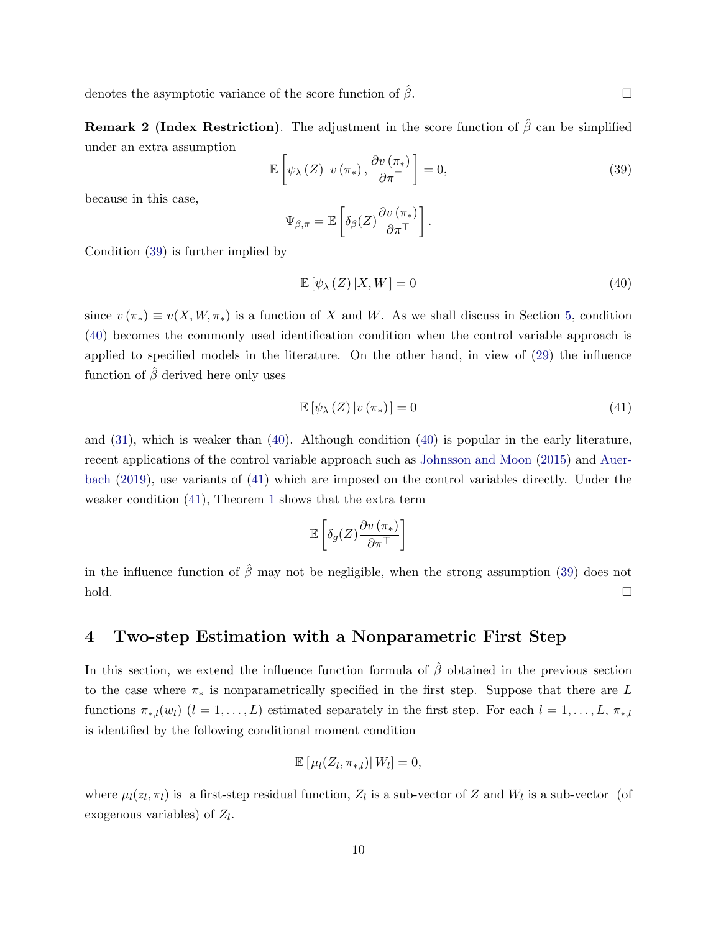denotes the asymptotic variance of the score function of  $\hat{\beta}$ .

**Remark 2 (Index Restriction).** The adjustment in the score function of  $\hat{\beta}$  can be simplified under an extra assumption

<span id="page-9-1"></span>
$$
\mathbb{E}\left[\psi_{\lambda}\left(Z\right)\bigg|v\left(\pi_{*}\right),\frac{\partial v\left(\pi_{*}\right)}{\partial\pi^{\top}}\right]=0,\tag{39}
$$

because in this case,

$$
\Psi_{\beta,\pi} = \mathbb{E}\left[\delta_{\beta}(Z)\frac{\partial v(\pi_*)}{\partial \pi^{\top}}\right].
$$

Condition [\(39\)](#page-9-1) is further implied by

<span id="page-9-2"></span>
$$
\mathbb{E}\left[\psi_{\lambda}\left(Z\right)|X,W\right]=0\tag{40}
$$

since  $v(\pi_*) \equiv v(X, W, \pi_*)$  is a function of X and W. As we shall discuss in Section [5,](#page-11-0) condition [\(40\)](#page-9-2) becomes the commonly used identification condition when the control variable approach is applied to specified models in the literature. On the other hand, in view of [\(29\)](#page-7-1) the influence function of  $\hat{\beta}$  derived here only uses

<span id="page-9-3"></span>
$$
\mathbb{E}\left[\psi_{\lambda}\left(Z\right)|v\left(\pi_{*}\right)\right]=0\tag{41}
$$

and [\(31\)](#page-7-2), which is weaker than [\(40\)](#page-9-2). Although condition [\(40\)](#page-9-2) is popular in the early literature, recent applications of the control variable approach such as [Johnsson and Moon](#page-16-6) [\(2015\)](#page-16-6) and [Auer](#page-16-7)[bach](#page-16-7) [\(2019\)](#page-16-7), use variants of [\(41\)](#page-9-3) which are imposed on the control variables directly. Under the weaker condition [\(41\)](#page-9-3), Theorem [1](#page-8-0) shows that the extra term

$$
\mathbb{E}\left[\delta_g(Z)\frac{\partial v\left(\pi_*\right)}{\partial \pi^\top}\right]
$$

in the influence function of  $\hat{\beta}$  may not be negligible, when the strong assumption [\(39\)](#page-9-1) does not  $h$ old.  $\Box$ 

#### <span id="page-9-0"></span>4 Two-step Estimation with a Nonparametric First Step

In this section, we extend the influence function formula of  $\hat{\beta}$  obtained in the previous section to the case where  $\pi_*$  is nonparametrically specified in the first step. Suppose that there are L functions  $\pi_{*,l}(w_l)$   $(l = 1, \ldots, L)$  estimated separately in the first step. For each  $l = 1, \ldots, L, \pi_{*,l}$ is identified by the following conditional moment condition

$$
\mathbb{E}\left[\left.\mu_l(Z_l,\pi_{*,l})\right|W_l\right]=0,
$$

where  $\mu_l(z_l, \pi_l)$  is a first-step residual function,  $Z_l$  is a sub-vector of Z and  $W_l$  is a sub-vector (of exogenous variables) of  $Z_l$ .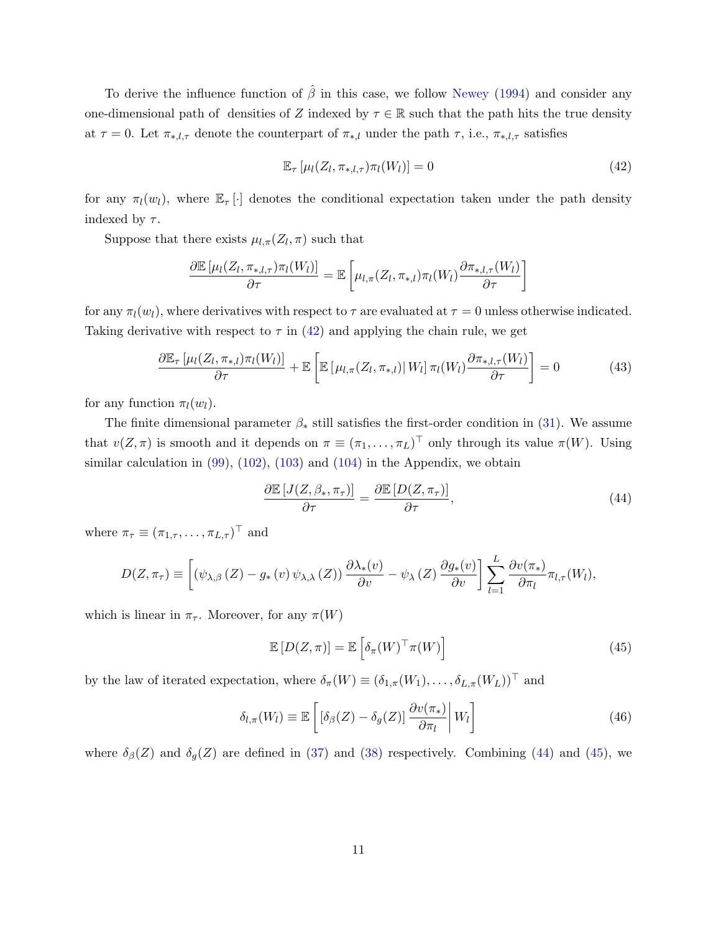To derive the influence function of  $\hat{\beta}$  in this case, we follow [Newey](#page-16-13) [\(1994\)](#page-16-13) and consider any one-dimensional path of densities of Z indexed by  $\tau \in \mathbb{R}$  such that the path hits the true density at  $\tau = 0$ . Let  $\pi_{*,l,\tau}$  denote the counterpart of  $\pi_{*,l}$  under the path  $\tau$ , i.e.,  $\pi_{*,l,\tau}$  satisfies

<span id="page-10-0"></span>
$$
\mathbb{E}_{\tau}\left[\mu_l(Z_l, \pi_{*,l,\tau})\pi_l(W_l)\right] = 0\tag{42}
$$

for any  $\pi_l(w_l)$ , where  $\mathbb{E}_{\tau}[\cdot]$  denotes the conditional expectation taken under the path density indexed by  $\tau$ .

Suppose that there exists  $\mu_{l,\pi}(Z_l,\pi)$  such that

$$
\frac{\partial \mathbb{E}\left[\mu_l(Z_l, \pi_{*,l,\tau})\pi_l(W_l)\right]}{\partial \tau} = \mathbb{E}\left[\mu_{l,\pi}(Z_l, \pi_{*,l})\pi_l(W_l)\frac{\partial \pi_{*,l,\tau}(W_l)}{\partial \tau}\right]
$$

for any  $\pi_l(w_l)$ , where derivatives with respect to  $\tau$  are evaluated at  $\tau = 0$  unless otherwise indicated. Taking derivative with respect to  $\tau$  in [\(42\)](#page-10-0) and applying the chain rule, we get

<span id="page-10-3"></span>
$$
\frac{\partial \mathbb{E}_{\tau} \left[ \mu_l(Z_l, \pi_{*,l}) \pi_l(W_l) \right]}{\partial \tau} + \mathbb{E} \left[ \mathbb{E} \left[ \mu_{l,\pi}(Z_l, \pi_{*,l}) \middle| W_l \right] \pi_l(W_l) \frac{\partial \pi_{*,l,\tau}(W_l)}{\partial \tau} \right] = 0 \tag{43}
$$

for any function  $\pi_l(w_l)$ .

The finite dimensional parameter  $\beta_*$  still satisfies the first-order condition in [\(31\)](#page-7-2). We assume that  $v(Z, \pi)$  is smooth and it depends on  $\pi \equiv (\pi_1, \ldots, \pi_L)^\top$  only through its value  $\pi(W)$ . Using similar calculation in [\(99\)](#page-18-0), [\(102\)](#page-19-0), [\(103\)](#page-19-1) and [\(104\)](#page-19-2) in the Appendix, we obtain

<span id="page-10-1"></span>
$$
\frac{\partial \mathbb{E}\left[J(Z,\beta_*,\pi_\tau)\right]}{\partial \tau} = \frac{\partial \mathbb{E}\left[D(Z,\pi_\tau)\right]}{\partial \tau},\tag{44}
$$

where  $\pi_{\tau} \equiv (\pi_{1,\tau}, \ldots, \pi_{L,\tau})^{\top}$  and

$$
D(Z, \pi_{\tau}) \equiv \left[ (\psi_{\lambda,\beta}(Z) - g_*(v) \psi_{\lambda,\lambda}(Z)) \frac{\partial \lambda_*(v)}{\partial v} - \psi_{\lambda}(Z) \frac{\partial g_*(v)}{\partial v} \right] \sum_{l=1}^L \frac{\partial v(\pi_*)}{\partial \pi_l} \pi_{l,\tau}(W_l),
$$

which is linear in  $\pi_{\tau}$ . Moreover, for any  $\pi(W)$ 

<span id="page-10-2"></span>
$$
\mathbb{E}\left[D(Z,\pi)\right] = \mathbb{E}\left[\delta_{\pi}(W)^{\top}\pi(W)\right]
$$
\n(45)

by the law of iterated expectation, where  $\delta_{\pi}(W) \equiv (\delta_{1,\pi}(W_1), \ldots, \delta_{L,\pi}(W_L))^{\top}$  and

$$
\delta_{l,\pi}(W_l) \equiv \mathbb{E}\left[\left[\delta_\beta(Z) - \delta_g(Z)\right] \frac{\partial v(\pi_*)}{\partial \pi_l} \middle| W_l\right]
$$
\n(46)

where  $\delta_{\beta}(Z)$  and  $\delta_{g}(Z)$  are defined in [\(37\)](#page-8-1) and [\(38\)](#page-8-2) respectively. Combining [\(44\)](#page-10-1) and [\(45\)](#page-10-2), we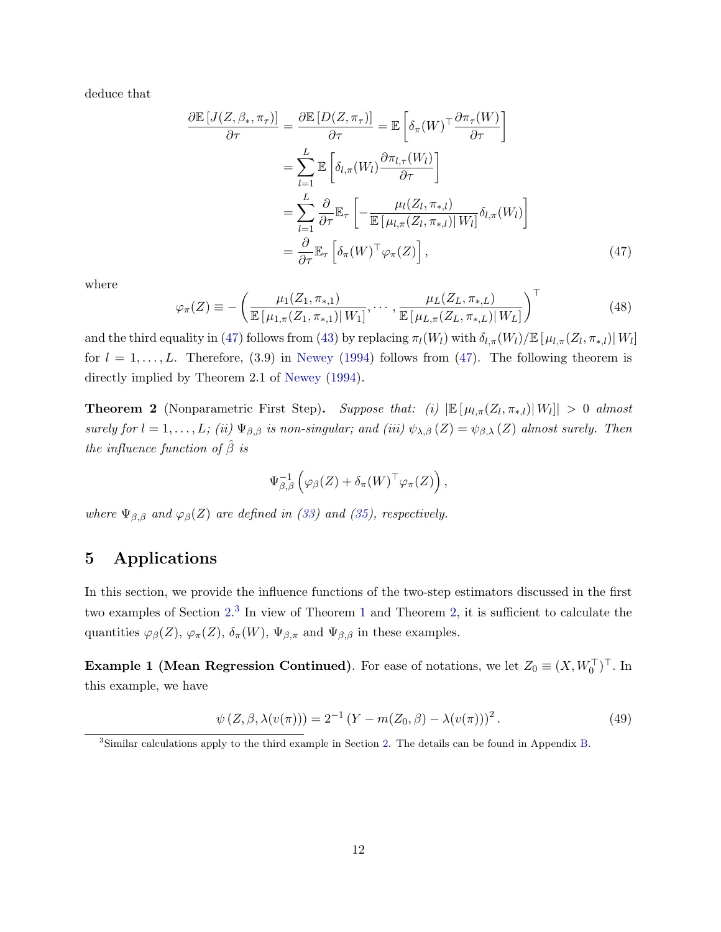deduce that

$$
\frac{\partial \mathbb{E}\left[J(Z,\beta_*,\pi_{\tau})\right]}{\partial \tau} = \frac{\partial \mathbb{E}\left[D(Z,\pi_{\tau})\right]}{\partial \tau} = \mathbb{E}\left[\delta_{\pi}(W)^{\top} \frac{\partial \pi_{\tau}(W)}{\partial \tau}\right]
$$

$$
= \sum_{l=1}^{L} \mathbb{E}\left[\delta_{l,\pi}(W_l) \frac{\partial \pi_{l,\tau}(W_l)}{\partial \tau}\right]
$$

$$
= \sum_{l=1}^{L} \frac{\partial}{\partial \tau} \mathbb{E}_{\tau}\left[-\frac{\mu_{l}(Z_l,\pi_{*,l})}{\mathbb{E}\left[\mu_{l,\pi}(Z_l,\pi_{*,l})\right]W_l\right]}\delta_{l,\pi}(W_l)
$$

$$
= \frac{\partial}{\partial \tau} \mathbb{E}_{\tau}\left[\delta_{\pi}(W)^{\top} \varphi_{\pi}(Z)\right],\tag{47}
$$

where

$$
\varphi_{\pi}(Z) \equiv -\left(\frac{\mu_1(Z_1, \pi_{*,1})}{\mathbb{E}\left[\mu_{1,\pi}(Z_1, \pi_{*,1}) | W_1\right]}, \cdots, \frac{\mu_L(Z_L, \pi_{*,L})}{\mathbb{E}\left[\mu_{L,\pi}(Z_L, \pi_{*,L}) | W_L\right]}\right)^{\top} \tag{48}
$$

and the third equality in [\(47\)](#page-11-1) follows from [\(43\)](#page-10-3) by replacing  $\pi_l(W_l)$  with  $\delta_{l,\pi}(W_l)/\mathbb{E}[\mu_{l,\pi}(Z_l,\pi_{*,l})|W_l]$ for  $l = 1, \ldots, L$ . Therefore, (3.9) in [Newey](#page-16-13) [\(1994\)](#page-16-13) follows from [\(47\)](#page-11-1). The following theorem is directly implied by Theorem 2.1 of [Newey](#page-16-13) [\(1994\)](#page-16-13).

<span id="page-11-3"></span>**Theorem 2** (Nonparametric First Step). Suppose that: (i)  $\left| \mathbb{E} \left[ \mu_{l,\pi}(Z_l, \pi_{*,l}) | W_l \right] \right| > 0$  almost surely for  $l = 1, \ldots, L$ ; (ii)  $\Psi_{\beta,\beta}$  is non-singular; and (iii)  $\psi_{\lambda,\beta}(Z) = \psi_{\beta,\lambda}(Z)$  almost surely. Then the influence function of  $\hat{\beta}$  is

<span id="page-11-1"></span>
$$
\Psi_{\beta,\beta}^{-1}\left(\varphi_{\beta}(Z)+\delta_{\pi}(W)^{\top}\varphi_{\pi}(Z)\right),\,
$$

where  $\Psi_{\beta,\beta}$  and  $\varphi_{\beta}(Z)$  are defined in [\(33\)](#page-8-3) and [\(35\)](#page-8-4), respectively.

## <span id="page-11-0"></span>5 Applications

In this section, we provide the influence functions of the two-step estimators discussed in the first two examples of Section [2.](#page-2-0)<sup>[3](#page-11-2)</sup> In view of Theorem [1](#page-8-0) and Theorem [2,](#page-11-3) it is sufficient to calculate the quantities  $\varphi_{\beta}(Z), \varphi_{\pi}(Z), \delta_{\pi}(W), \Psi_{\beta,\pi}$  and  $\Psi_{\beta,\beta}$  in these examples.

**Example 1 (Mean Regression Continued)**. For ease of notations, we let  $Z_0 \equiv (X, W_0^{\top})^{\top}$ . In this example, we have

$$
\psi(Z, \beta, \lambda(v(\pi))) = 2^{-1} (Y - m(Z_0, \beta) - \lambda(v(\pi)))^2.
$$
 (49)

<span id="page-11-2"></span><sup>3</sup>Similar calculations apply to the third example in Section [2.](#page-2-0) The details can be found in Appendix [B.](#page-20-0)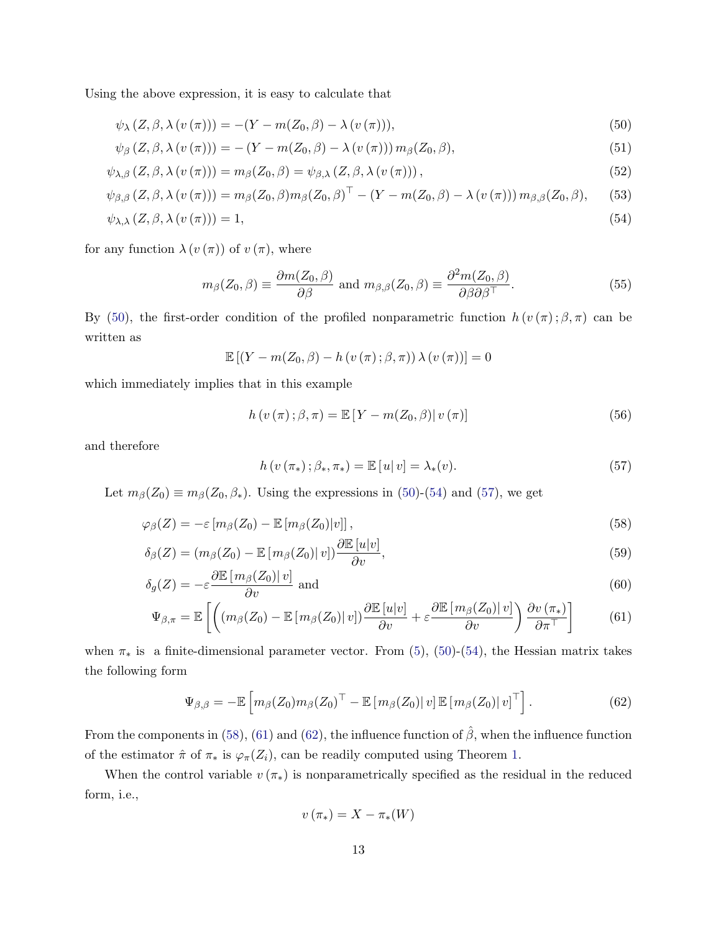Using the above expression, it is easy to calculate that

$$
\psi_{\lambda} (Z, \beta, \lambda (v(\pi))) = -(Y - m(Z_0, \beta) - \lambda (v(\pi))), \qquad (50)
$$

$$
\psi_{\beta}\left(Z,\beta,\lambda\left(v\left(\pi\right)\right)\right)=-\left(Y-m(Z_0,\beta)-\lambda\left(v\left(\pi\right)\right)\right)m_{\beta}(Z_0,\beta),\tag{51}
$$

$$
\psi_{\lambda,\beta}\left(Z,\beta,\lambda\left(v\left(\pi\right)\right)\right)=m_{\beta}(Z_0,\beta)=\psi_{\beta,\lambda}\left(Z,\beta,\lambda\left(v\left(\pi\right)\right)\right),\tag{52}
$$

$$
\psi_{\beta,\beta}(Z,\beta,\lambda(v(\pi))) = m_{\beta}(Z_0,\beta)m_{\beta}(Z_0,\beta)^{\top} - (Y - m(Z_0,\beta) - \lambda(v(\pi)))m_{\beta,\beta}(Z_0,\beta),
$$
 (53)

$$
\psi_{\lambda,\lambda}\left(Z,\beta,\lambda\left(v\left(\pi\right)\right)\right)=1,\tag{54}
$$

for any function  $\lambda(v(\pi))$  of  $v(\pi)$ , where

<span id="page-12-0"></span>
$$
m_{\beta}(Z_0, \beta) \equiv \frac{\partial m(Z_0, \beta)}{\partial \beta} \text{ and } m_{\beta, \beta}(Z_0, \beta) \equiv \frac{\partial^2 m(Z_0, \beta)}{\partial \beta \partial \beta^{\top}}.
$$
 (55)

By [\(50\)](#page-12-0), the first-order condition of the profiled nonparametric function  $h(v(\pi);\beta,\pi)$  can be written as

<span id="page-12-1"></span>
$$
\mathbb{E}\left[\left(Y - m(Z_0, \beta) - h\left(v\left(\pi\right); \beta, \pi\right)\right) \lambda\left(v\left(\pi\right)\right)\right] = 0
$$

which immediately implies that in this example

$$
h\left(v\left(\pi\right);\beta,\pi\right) = \mathbb{E}\left[Y - m(Z_0,\beta)|v\left(\pi\right)\right]
$$
\n(56)

and therefore

<span id="page-12-7"></span><span id="page-12-6"></span><span id="page-12-3"></span><span id="page-12-2"></span>
$$
h(v(\pi_{*}); \beta_{*}, \pi_{*}) = \mathbb{E}[u|v] = \lambda_{*}(v).
$$
\n(57)

Let  $m_\beta(Z_0) \equiv m_\beta(Z_0, \beta_*)$ . Using the expressions in [\(50\)](#page-12-0)-[\(54\)](#page-12-1) and [\(57\)](#page-12-2), we get

$$
\varphi_{\beta}(Z) = -\varepsilon \left[ m_{\beta}(Z_0) - \mathbb{E}\left[ m_{\beta}(Z_0) | v \right] \right],\tag{58}
$$

$$
\delta_{\beta}(Z) = (m_{\beta}(Z_0) - \mathbb{E}[m_{\beta}(Z_0)|v]) \frac{\partial \mathbb{E}[u|v]}{\partial v},\tag{59}
$$

$$
\delta_g(Z) = -\varepsilon \frac{\partial \mathbb{E}\left[m_\beta(Z_0)|\, v\right]}{\partial v} \text{ and } \tag{60}
$$

$$
\Psi_{\beta,\pi} = \mathbb{E}\left[ \left( \left( m_{\beta}(Z_0) - \mathbb{E}\left[ m_{\beta}(Z_0) \middle| v \right] \right) \frac{\partial \mathbb{E}\left[ u \middle| v \right]}{\partial v} + \varepsilon \frac{\partial \mathbb{E}\left[ m_{\beta}(Z_0) \middle| v \right]}{\partial v} \right) \frac{\partial v(\pi_*)}{\partial \pi^+} \right] \tag{61}
$$

when  $\pi_*$  is a finite-dimensional parameter vector. From [\(5\)](#page-3-3), [\(50\)](#page-12-0)-[\(54\)](#page-12-1), the Hessian matrix takes the following form

<span id="page-12-5"></span>
$$
\Psi_{\beta,\beta} = -\mathbb{E}\left[m_{\beta}(Z_0)m_{\beta}(Z_0)^{\top} - \mathbb{E}\left[m_{\beta}(Z_0)|v\right]\mathbb{E}\left[m_{\beta}(Z_0)|v\right]^{\top}\right].\tag{62}
$$

From the components in [\(58\)](#page-12-3), [\(61\)](#page-12-4) and [\(62\)](#page-12-5), the influence function of  $\hat{\beta}$ , when the influence function of the estimator  $\hat{\pi}$  of  $\pi_*$  is  $\varphi_{\pi}(Z_i)$ , can be readily computed using Theorem [1.](#page-8-0)

When the control variable  $v(\pi_*)$  is nonparametrically specified as the residual in the reduced form, i.e.,

<span id="page-12-4"></span>
$$
v\left(\pi_{*}\right)=X-\pi_{*}(W)
$$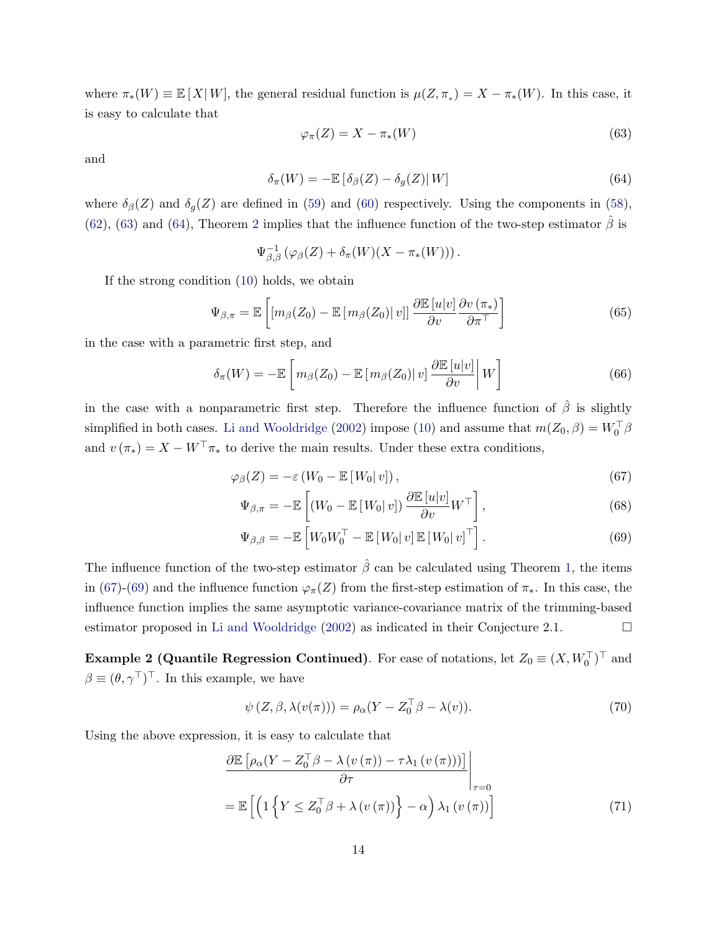where  $\pi_*(W) \equiv \mathbb{E}[X|W]$ , the general residual function is  $\mu(Z, \pi_*) = X - \pi_*(W)$ . In this case, it is easy to calculate that

<span id="page-13-0"></span>
$$
\varphi_{\pi}(Z) = X - \pi_*(W) \tag{63}
$$

and

<span id="page-13-1"></span>
$$
\delta_{\pi}(W) = -\mathbb{E}\left[\delta_{\beta}(Z) - \delta_{g}(Z)\right|W\right]
$$
\n(64)

where  $\delta_{\beta}(Z)$  and  $\delta_{g}(Z)$  are defined in [\(59\)](#page-12-6) and [\(60\)](#page-12-7) respectively. Using the components in [\(58\)](#page-12-3), [\(62\)](#page-12-5), [\(63\)](#page-13-0) and [\(64\)](#page-13-1), Theorem [2](#page-11-3) implies that the influence function of the two-step estimator  $\beta$  is

$$
\Psi_{\beta,\beta}^{-1}(\varphi_{\beta}(Z)+\delta_{\pi}(W)(X-\pi_*(W))).
$$

If the strong condition [\(10\)](#page-3-0) holds, we obtain

$$
\Psi_{\beta,\pi} = \mathbb{E}\left[ \left[ m_{\beta}(Z_0) - \mathbb{E}\left[ m_{\beta}(Z_0) \right] v \right] \frac{\partial \mathbb{E}\left[ u \middle| v \right]}{\partial v} \frac{\partial v(\pi_*)}{\partial \pi^{\top}} \right] \tag{65}
$$

in the case with a parametric first step, and

$$
\delta_{\pi}(W) = -\mathbb{E}\left[m_{\beta}(Z_0) - \mathbb{E}\left[m_{\beta}(Z_0) \mid v\right] \frac{\partial \mathbb{E}\left[u \mid v\right]}{\partial v}\middle| W\right]
$$
\n(66)

in the case with a nonparametric first step. Therefore the influence function of  $\hat{\beta}$  is slightly simplified in both cases. [Li and Wooldridge](#page-16-3) [\(2002\)](#page-16-3) impose [\(10\)](#page-3-0) and assume that  $m(Z_0, \beta) = W_0^{\top} \beta$ and  $v(\pi_*) = X - W^{\top} \pi_*$  to derive the main results. Under these extra conditions,

$$
\varphi_{\beta}(Z) = -\varepsilon \left( W_0 - \mathbb{E} \left[ W_0 | v \right] \right),\tag{67}
$$

<span id="page-13-2"></span>
$$
\Psi_{\beta,\pi} = -\mathbb{E}\left[ (W_0 - \mathbb{E}\left[ W_0 \middle| v \right]) \frac{\partial \mathbb{E}\left[ u \middle| v \right]}{\partial v} W^\top \right],\tag{68}
$$

<span id="page-13-3"></span>
$$
\Psi_{\beta,\beta} = -\mathbb{E}\left[W_0 W_0^\top - \mathbb{E}\left[W_0|v\right]\mathbb{E}\left[W_0|v\right]^\top\right].\tag{69}
$$

The influence function of the two-step estimator  $\hat{\beta}$  can be calculated using Theorem [1,](#page-8-0) the items in [\(67\)](#page-13-2)-[\(69\)](#page-13-3) and the influence function  $\varphi_{\pi}(Z)$  from the first-step estimation of  $\pi_{*}$ . In this case, the influence function implies the same asymptotic variance-covariance matrix of the trimming-based estimator proposed in [Li and Wooldridge](#page-16-3) [\(2002\)](#page-16-3) as indicated in their Conjecture 2.1.  $\Box$ 

**Example 2 (Quantile Regression Continued)**. For ease of notations, let  $Z_0 \equiv (X, W_0^{\top})^{\top}$  and  $\beta \equiv (\theta, \gamma^{\top})^{\top}$ . In this example, we have

<span id="page-13-4"></span>
$$
\psi(Z, \beta, \lambda(v(\pi))) = \rho_{\alpha}(Y - Z_0^{\top}\beta - \lambda(v)).
$$
\n(70)

Using the above expression, it is easy to calculate that

$$
\frac{\partial \mathbb{E}\left[\rho_{\alpha}(Y - Z_0^\top \beta - \lambda \left(v\left(\pi\right)\right) - \tau \lambda_1 \left(v\left(\pi\right)\right)\right)\right]}{\partial \tau}\Bigg|_{\tau=0}
$$
\n
$$
= \mathbb{E}\left[\left(1\left\{Y \leq Z_0^\top \beta + \lambda \left(v\left(\pi\right)\right)\right\} - \alpha\right)\lambda_1 \left(v\left(\pi\right)\right)\right]
$$
\n(71)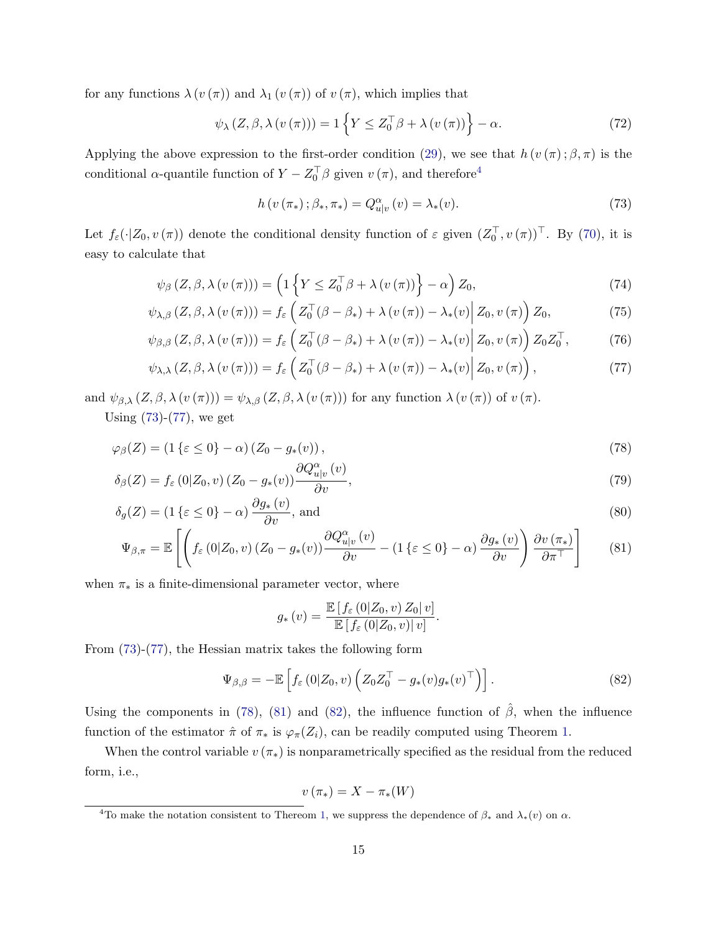for any functions  $\lambda(v(\pi))$  and  $\lambda_1(v(\pi))$  of  $v(\pi)$ , which implies that

$$
\psi_{\lambda} (Z, \beta, \lambda (v(\pi))) = 1 \left\{ Y \le Z_0^{\top} \beta + \lambda (v(\pi)) \right\} - \alpha.
$$
 (72)

Applying the above expression to the first-order condition [\(29\)](#page-7-1), we see that  $h(v(\pi); \beta, \pi)$  is the conditional  $\alpha$ -quantile function of  $Y - Z_0^{\top} \beta$  given  $v(\pi)$ , and therefore<sup>[4](#page-14-0)</sup>

<span id="page-14-2"></span><span id="page-14-1"></span>
$$
h\left(v\left(\pi_{*}\right)\,;\beta_{*},\pi_{*}\right)=Q_{u|v}^{\alpha}\left(v\right)=\lambda_{*}(v). \tag{73}
$$

Let  $f_{\varepsilon}(\cdot|Z_0, v(\pi))$  denote the conditional density function of  $\varepsilon$  given  $(Z_0^{\top}, v(\pi))^{\top}$ . By  $(70)$ , it is easy to calculate that

$$
\psi_{\beta}\left(Z,\beta,\lambda\left(v\left(\pi\right)\right)\right)=\left(1\left\{ Y\leq Z_{0}^{\top}\beta+\lambda\left(v\left(\pi\right)\right)\right\} -\alpha\right)Z_{0},\tag{74}
$$

$$
\psi_{\lambda,\beta}\left(Z,\beta,\lambda\left(v\left(\pi\right)\right)\right)=f_{\varepsilon}\left(Z_{0}^{\top}\left(\beta-\beta_{*}\right)+\lambda\left(v\left(\pi\right)\right)-\lambda_{*}\left(v\right)\middle|Z_{0},v\left(\pi\right)\right)Z_{0},\tag{75}
$$

$$
\psi_{\beta,\beta}\left(Z,\beta,\lambda\left(v\left(\pi\right)\right)\right) = f_{\varepsilon}\left(Z_0^{\top}\left(\beta-\beta_*\right) + \lambda\left(v\left(\pi\right)\right) - \lambda_*(v)\right)Z_0, v\left(\pi\right)\right)Z_0Z_0^{\top},\tag{76}
$$

$$
\psi_{\lambda,\lambda}(Z,\beta,\lambda(v(\pi))) = f_{\varepsilon}\left(Z_0^{\top}(\beta-\beta_*)+\lambda(v(\pi))-\lambda_*(v)\Big|Z_0,v(\pi)\right),\tag{77}
$$

and  $\psi_{\beta,\lambda} (Z,\beta,\lambda(v(\pi))) = \psi_{\lambda,\beta} (Z,\beta,\lambda(v(\pi)))$  for any function  $\lambda(v(\pi))$  of  $v(\pi)$ .

Using [\(73\)](#page-14-1)-[\(77\)](#page-14-2), we get

$$
\varphi_{\beta}(Z) = (1\{\varepsilon \le 0\} - \alpha) \left( Z_0 - g_*(v) \right),\tag{78}
$$

$$
\delta_{\beta}(Z) = f_{\varepsilon}(0|Z_0, v) (Z_0 - g_*(v)) \frac{\partial Q_{u|v}^{\alpha}(v)}{\partial v}, \tag{79}
$$

$$
\delta_g(Z) = (1\{\varepsilon \le 0\} - \alpha) \frac{\partial g_*(v)}{\partial v}, \text{ and}
$$
\n(80)

$$
\Psi_{\beta,\pi} = \mathbb{E}\left[ \left( f_{\varepsilon}\left(0|Z_0,v\right)\left(Z_0 - g_*(v)\right) \frac{\partial Q_{u|v}^{\alpha}(v)}{\partial v} - \left(1\left\{\varepsilon \le 0\right\} - \alpha\right) \frac{\partial g_*(v)}{\partial v} \right) \frac{\partial v(\pi_*)}{\partial \pi^{\top}} \right] \tag{81}
$$

when  $\pi_*$  is a finite-dimensional parameter vector, where

<span id="page-14-7"></span><span id="page-14-6"></span><span id="page-14-4"></span><span id="page-14-3"></span>
$$
g_*\left(v\right) = \frac{\mathbb{E}\left[f_\varepsilon\left(0|Z_0,v\right)Z_0|v\right]}{\mathbb{E}\left[f_\varepsilon\left(0|Z_0,v\right)|v\right]}.
$$

From [\(73\)](#page-14-1)-[\(77\)](#page-14-2), the Hessian matrix takes the following form

<span id="page-14-5"></span>
$$
\Psi_{\beta,\beta} = -\mathbb{E}\left[f_{\varepsilon}\left(0|Z_0,v\right)\left(Z_0Z_0^{\top} - g_*(v)g_*(v)^{\top}\right)\right].\tag{82}
$$

Using the components in [\(78\)](#page-14-3), [\(81\)](#page-14-4) and [\(82\)](#page-14-5), the influence function of  $\hat{\beta}$ , when the influence function of the estimator  $\hat{\pi}$  of  $\pi_*$  is  $\varphi_{\pi}(Z_i)$ , can be readily computed using Theorem [1.](#page-8-0)

When the control variable  $v(\pi_*)$  is nonparametrically specified as the residual from the reduced form, i.e.,

$$
v\left(\pi_{*}\right)=X-\pi_{*}(W)
$$

<span id="page-14-0"></span><sup>&</sup>lt;sup>4</sup>To make the notation consistent to Thereom [1,](#page-8-0) we suppress the dependence of  $\beta_*$  and  $\lambda_*(v)$  on  $\alpha$ .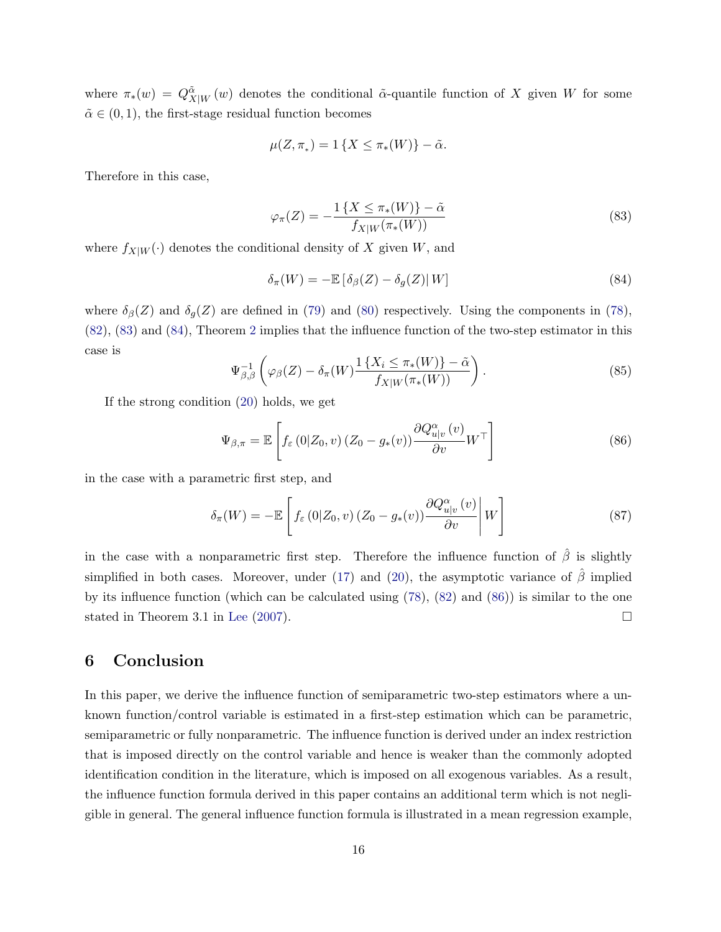where  $\pi_*(w) = Q^{\tilde{\alpha}}_{X|W}(w)$  denotes the conditional  $\tilde{\alpha}$ -quantile function of X given W for some  $\tilde{\alpha} \in (0, 1)$ , the first-stage residual function becomes

$$
\mu(Z,\pi_*)=1\{X\leq \pi_*(W)\}-\tilde{\alpha}.
$$

Therefore in this case,

<span id="page-15-1"></span>
$$
\varphi_{\pi}(Z) = -\frac{1\left\{X \le \pi_*(W)\right\} - \tilde{\alpha}}{f_{X|W}(\pi_*(W))}
$$
\n(83)

where  $f_{X|W}(\cdot)$  denotes the conditional density of X given W, and

<span id="page-15-2"></span>
$$
\delta_{\pi}(W) = -\mathbb{E}\left[\delta_{\beta}(Z) - \delta_{g}(Z)\right|W\right]
$$
\n(84)

where  $\delta_{\beta}(Z)$  and  $\delta_{q}(Z)$  are defined in [\(79\)](#page-14-6) and [\(80\)](#page-14-7) respectively. Using the components in [\(78\)](#page-14-3), [\(82\)](#page-14-5), [\(83\)](#page-15-1) and [\(84\)](#page-15-2), Theorem [2](#page-11-3) implies that the influence function of the two-step estimator in this case is

$$
\Psi_{\beta,\beta}^{-1}\left(\varphi_{\beta}(Z) - \delta_{\pi}(W)\frac{1\left\{X_i \leq \pi_*(W)\right\} - \tilde{\alpha}}{f_{X|W}(\pi_*(W))}\right). \tag{85}
$$

If the strong condition [\(20\)](#page-5-0) holds, we get

<span id="page-15-3"></span>
$$
\Psi_{\beta,\pi} = \mathbb{E}\left[f_{\varepsilon}\left(0|Z_0,v\right)\left(Z_0 - g_*(v)\right)\frac{\partial Q_{u|v}^{\alpha}(v)}{\partial v}W^{\top}\right]
$$
\n(86)

in the case with a parametric first step, and

$$
\delta_{\pi}(W) = -\mathbb{E}\left[f_{\varepsilon}(0|Z_0, v) (Z_0 - g_*(v)) \frac{\partial Q_{u|v}^{\alpha}(v)}{\partial v} \middle| W\right]
$$
\n(87)

in the case with a nonparametric first step. Therefore the influence function of  $\hat{\beta}$  is slightly simplified in both cases. Moreover, under [\(17\)](#page-4-5) and [\(20\)](#page-5-0), the asymptotic variance of  $\hat{\beta}$  implied by its influence function (which can be calculated using [\(78\)](#page-14-3), [\(82\)](#page-14-5) and [\(86\)](#page-15-3)) is similar to the one stated in Theorem 3.1 in [Lee](#page-16-4) [\(2007\)](#page-16-4).

### <span id="page-15-0"></span>6 Conclusion

In this paper, we derive the influence function of semiparametric two-step estimators where a unknown function/control variable is estimated in a first-step estimation which can be parametric, semiparametric or fully nonparametric. The influence function is derived under an index restriction that is imposed directly on the control variable and hence is weaker than the commonly adopted identification condition in the literature, which is imposed on all exogenous variables. As a result, the influence function formula derived in this paper contains an additional term which is not negligible in general. The general influence function formula is illustrated in a mean regression example,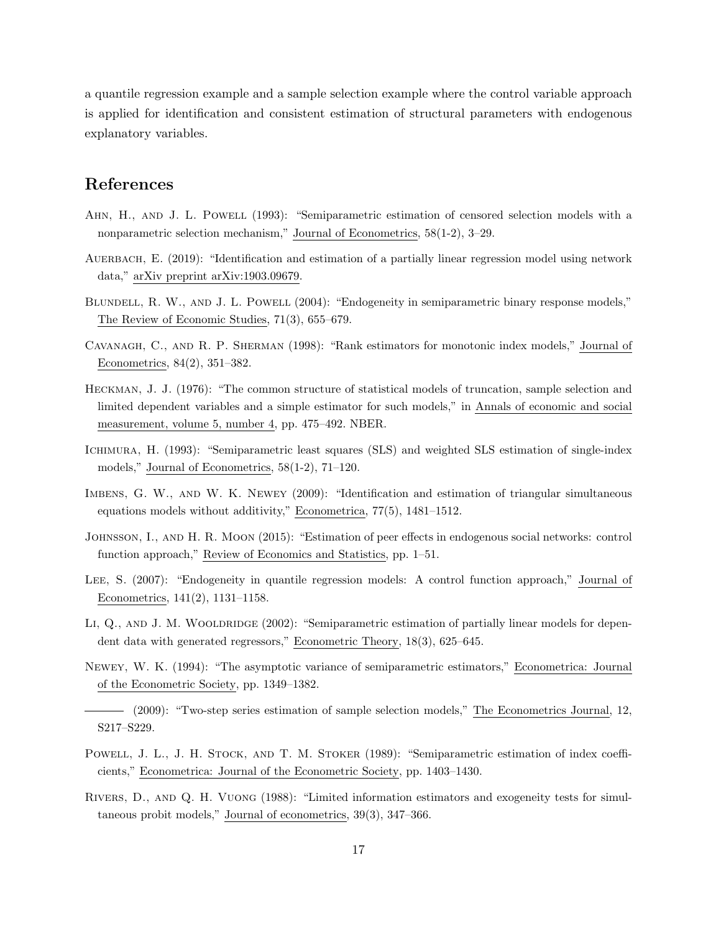a quantile regression example and a sample selection example where the control variable approach is applied for identification and consistent estimation of structural parameters with endogenous explanatory variables.

### References

- <span id="page-16-12"></span>AHN, H., AND J. L. POWELL (1993): "Semiparametric estimation of censored selection models with a nonparametric selection mechanism," Journal of Econometrics, 58(1-2), 3–29.
- <span id="page-16-7"></span>AUERBACH, E. (2019): "Identification and estimation of a partially linear regression model using network data," arXiv preprint arXiv:1903.09679.
- <span id="page-16-2"></span>BLUNDELL, R. W., AND J. L. POWELL (2004): "Endogeneity in semiparametric binary response models," The Review of Economic Studies, 71(3), 655–679.
- <span id="page-16-9"></span>Cavanagh, C., and R. P. Sherman (1998): "Rank estimators for monotonic index models," Journal of Econometrics, 84(2), 351–382.
- <span id="page-16-8"></span>Heckman, J. J. (1976): "The common structure of statistical models of truncation, sample selection and limited dependent variables and a simple estimator for such models," in Annals of economic and social measurement, volume 5, number 4, pp. 475–492. NBER.
- <span id="page-16-10"></span>Ichimura, H. (1993): "Semiparametric least squares (SLS) and weighted SLS estimation of single-index models," Journal of Econometrics, 58(1-2), 71–120.
- <span id="page-16-0"></span>Imbens, G. W., and W. K. Newey (2009): "Identification and estimation of triangular simultaneous equations models without additivity," Econometrica, 77(5), 1481–1512.
- <span id="page-16-6"></span>Johnsson, I., and H. R. Moon (2015): "Estimation of peer effects in endogenous social networks: control function approach," Review of Economics and Statistics, pp. 1–51.
- <span id="page-16-4"></span>Lee, S. (2007): "Endogeneity in quantile regression models: A control function approach," Journal of Econometrics, 141(2), 1131–1158.
- <span id="page-16-3"></span>LI,  $Q_{\cdot}$ , AND J. M. WOOLDRIDGE (2002): "Semiparametric estimation of partially linear models for dependent data with generated regressors," Econometric Theory, 18(3), 625–645.
- <span id="page-16-13"></span>Newey, W. K. (1994): "The asymptotic variance of semiparametric estimators," Econometrica: Journal of the Econometric Society, pp. 1349–1382.
- <span id="page-16-5"></span>(2009): "Two-step series estimation of sample selection models," The Econometrics Journal, 12, S217–S229.
- <span id="page-16-11"></span>POWELL, J. L., J. H. STOCK, AND T. M. STOKER (1989): "Semiparametric estimation of index coefficients," Econometrica: Journal of the Econometric Society, pp. 1403–1430.
- <span id="page-16-1"></span>Rivers, D., and Q. H. Vuong (1988): "Limited information estimators and exogeneity tests for simultaneous probit models," Journal of econometrics, 39(3), 347–366.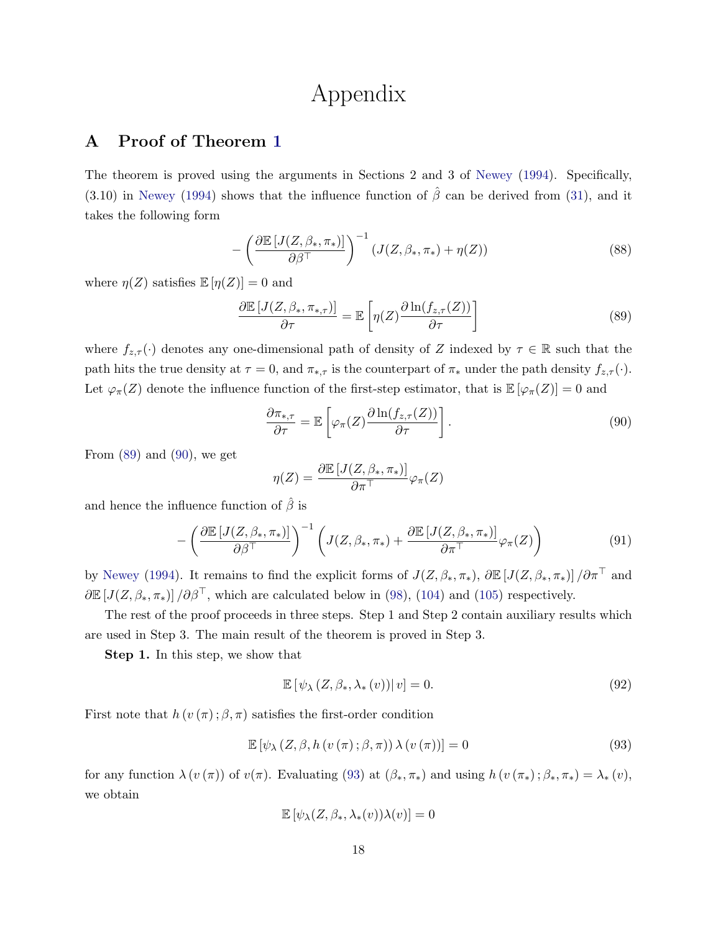## Appendix

### <span id="page-17-0"></span>A Proof of Theorem [1](#page-8-0)

The theorem is proved using the arguments in Sections 2 and 3 of [Newey](#page-16-13) [\(1994\)](#page-16-13). Specifically, (3.10) in [Newey](#page-16-13) [\(1994\)](#page-16-13) shows that the influence function of  $\hat{\beta}$  can be derived from [\(31\)](#page-7-2), and it takes the following form

$$
-\left(\frac{\partial \mathbb{E}\left[J(Z,\beta_*,\pi_*)\right]}{\partial \beta^{\top}}\right)^{-1}\left(J(Z,\beta_*,\pi_*)+\eta(Z)\right) \tag{88}
$$

where  $\eta(Z)$  satisfies  $\mathbb{E}[\eta(Z)] = 0$  and

<span id="page-17-1"></span>
$$
\frac{\partial \mathbb{E}\left[J(Z,\beta_*,\pi_{*,\tau})\right]}{\partial \tau} = \mathbb{E}\left[\eta(Z)\frac{\partial \ln(f_{z,\tau}(Z))}{\partial \tau}\right]
$$
(89)

where  $f_{z,\tau}(\cdot)$  denotes any one-dimensional path of density of Z indexed by  $\tau \in \mathbb{R}$  such that the path hits the true density at  $\tau = 0$ , and  $\pi_{*,\tau}$  is the counterpart of  $\pi_*$  under the path density  $f_{z,\tau}(\cdot)$ . Let  $\varphi_{\pi}(Z)$  denote the influence function of the first-step estimator, that is  $\mathbb{E}[\varphi_{\pi}(Z)] = 0$  and

<span id="page-17-2"></span>
$$
\frac{\partial \pi_{*,\tau}}{\partial \tau} = \mathbb{E}\left[\varphi_{\pi}(Z) \frac{\partial \ln(f_{z,\tau}(Z))}{\partial \tau}\right].
$$
\n(90)

From  $(89)$  and  $(90)$ , we get

$$
\eta(Z) = \frac{\partial \mathbb{E}\left[J(Z, \beta_*, \pi_*)\right]}{\partial \pi^{\top}} \varphi_{\pi}(Z)
$$

and hence the influence function of  $\hat{\beta}$  is

$$
-\left(\frac{\partial \mathbb{E}\left[J(Z,\beta_*,\pi_*)\right]}{\partial \beta^\top}\right)^{-1}\left(J(Z,\beta_*,\pi_*)+\frac{\partial \mathbb{E}\left[J(Z,\beta_*,\pi_*)\right]}{\partial \pi^\top}\varphi_\pi(Z)\right) \tag{91}
$$

by [Newey](#page-16-13) [\(1994\)](#page-16-13). It remains to find the explicit forms of  $J(Z, \beta_*, \pi_*), \partial \mathbb{E}[J(Z, \beta_*, \pi_*)]/\partial \pi^{\top}$  and  $\partial \mathbb{E}[J(Z,\beta_*,\pi_*)]/\partial \beta^{\top}$ , which are calculated below in [\(98\)](#page-18-1), [\(104\)](#page-19-2) and [\(105\)](#page-20-1) respectively.

The rest of the proof proceeds in three steps. Step 1 and Step 2 contain auxiliary results which are used in Step 3. The main result of the theorem is proved in Step 3.

Step 1. In this step, we show that

<span id="page-17-4"></span>
$$
\mathbb{E}\left[\psi_{\lambda}\left(Z,\beta_{*},\lambda_{*}\left(v\right)\right)|v\right]=0.\tag{92}
$$

First note that  $h(v(\pi); \beta, \pi)$  satisfies the first-order condition

<span id="page-17-3"></span>
$$
\mathbb{E}\left[\psi_{\lambda}\left(Z,\beta,h\left(v\left(\pi\right);\beta,\pi\right)\right)\lambda\left(v\left(\pi\right)\right)\right]=0\tag{93}
$$

for any function  $\lambda(v(\pi))$  of  $v(\pi)$ . Evaluating [\(93\)](#page-17-3) at  $(\beta_*, \pi_*)$  and using  $h(v(\pi_*); \beta_*, \pi_*) = \lambda_*(v)$ , we obtain

$$
\mathbb{E}\left[\psi_{\lambda}(Z,\beta_*,\lambda_*(v))\lambda(v)\right]=0
$$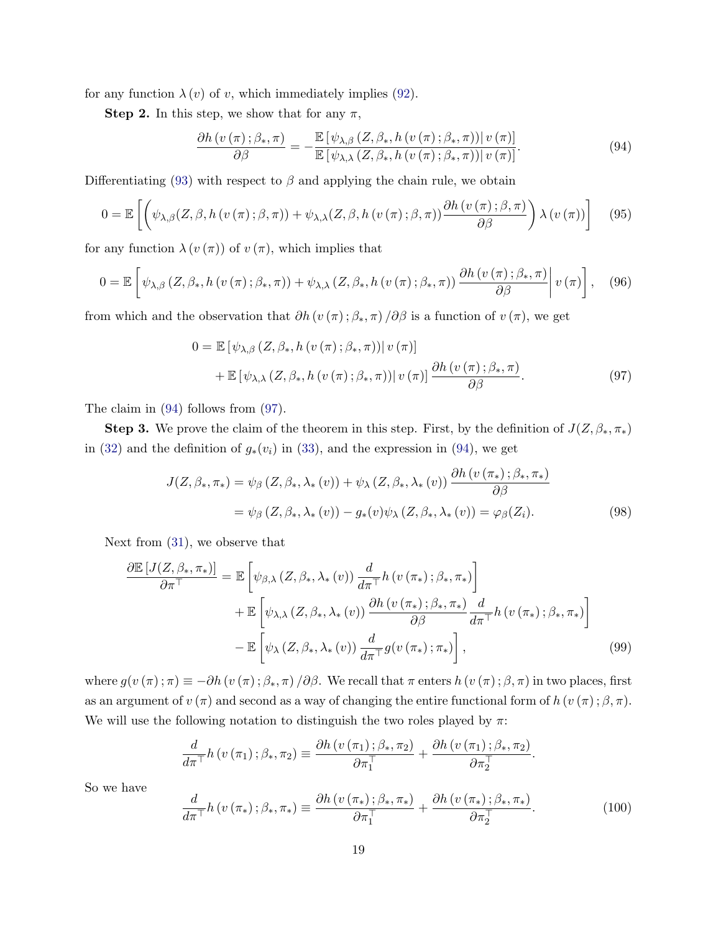for any function  $\lambda(v)$  of v, which immediately implies [\(92\)](#page-17-4).

**Step 2.** In this step, we show that for any  $\pi$ ,

<span id="page-18-2"></span>
$$
\frac{\partial h\left(v\left(\pi\right);\beta_{\ast},\pi\right)}{\partial\beta} = -\frac{\mathbb{E}\left[\psi_{\lambda,\beta}\left(Z,\beta_{\ast},h\left(v\left(\pi\right);\beta_{\ast},\pi\right)\right)|v\left(\pi\right)\right]}{\mathbb{E}\left[\psi_{\lambda,\lambda}\left(Z,\beta_{\ast},h\left(v\left(\pi\right);\beta_{\ast},\pi\right)\right)|v\left(\pi\right)\right]}.
$$
\n(94)

Differentiating [\(93\)](#page-17-3) with respect to  $\beta$  and applying the chain rule, we obtain

$$
0 = \mathbb{E}\left[\left(\psi_{\lambda,\beta}(Z,\beta,h(v(\pi);\beta,\pi)) + \psi_{\lambda,\lambda}(Z,\beta,h(v(\pi);\beta,\pi))\frac{\partial h(v(\pi);\beta,\pi)}{\partial \beta}\right)\lambda(v(\pi))\right] \quad (95)
$$

for any function  $\lambda(v(\pi))$  of  $v(\pi)$ , which implies that

<span id="page-18-4"></span>
$$
0 = \mathbb{E}\left[\psi_{\lambda,\beta}\left(Z,\beta_*,h\left(v\left(\pi\right);\beta_*,\pi\right)\right) + \psi_{\lambda,\lambda}\left(Z,\beta_*,h\left(v\left(\pi\right);\beta_*,\pi\right)\right) \frac{\partial h\left(v\left(\pi\right);\beta_*,\pi\right)}{\partial\beta}\middle| v\left(\pi\right)\right],\tag{96}
$$

from which and the observation that  $\partial h(v(\pi);\beta_*,\pi)/\partial \beta$  is a function of  $v(\pi)$ , we get

<span id="page-18-3"></span>
$$
0 = \mathbb{E} \left[ \psi_{\lambda,\beta} \left( Z, \beta_*, h \left( v \left( \pi \right); \beta_*, \pi \right) \right) \middle| v \left( \pi \right) \right] + \mathbb{E} \left[ \psi_{\lambda,\lambda} \left( Z, \beta_*, h \left( v \left( \pi \right); \beta_*, \pi \right) \right) \middle| v \left( \pi \right) \right] \frac{\partial h \left( v \left( \pi \right); \beta_*, \pi \right)}{\partial \beta}.
$$
\n(97)

The claim in [\(94\)](#page-18-2) follows from [\(97\)](#page-18-3).

**Step 3.** We prove the claim of the theorem in this step. First, by the definition of  $J(Z, \beta_*, \pi_*)$ in [\(32\)](#page-7-3) and the definition of  $g_*(v_i)$  in [\(33\)](#page-8-3), and the expression in [\(94\)](#page-18-2), we get

<span id="page-18-1"></span>
$$
J(Z, \beta_*, \pi_*) = \psi_{\beta} (Z, \beta_*, \lambda_*(v)) + \psi_{\lambda} (Z, \beta_*, \lambda_*(v)) \frac{\partial h(v(\pi_*); \beta_*, \pi_*)}{\partial \beta}
$$
  
=  $\psi_{\beta} (Z, \beta_*, \lambda_*(v)) - g_*(v) \psi_{\lambda} (Z, \beta_*, \lambda_*(v)) = \varphi_{\beta} (Z_i).$  (98)

Next from [\(31\)](#page-7-2), we observe that

$$
\frac{\partial \mathbb{E}\left[J(Z,\beta_*,\pi_*)\right]}{\partial \pi^{\top}} = \mathbb{E}\left[\psi_{\beta,\lambda}\left(Z,\beta_*,\lambda_*(v)\right)\frac{d}{d\pi^{\top}}h\left(v\left(\pi_*\right);\beta_*,\pi_*\right)\right] \n+ \mathbb{E}\left[\psi_{\lambda,\lambda}\left(Z,\beta_*,\lambda_*(v)\right)\frac{\partial h\left(v\left(\pi_*\right);\beta_*,\pi_*\right)}{\partial \beta}\frac{d}{d\pi^{\top}}h\left(v\left(\pi_*\right);\beta_*,\pi_*\right)\right] \n- \mathbb{E}\left[\psi_{\lambda}\left(Z,\beta_*,\lambda_*(v)\right)\frac{d}{d\pi^{\top}}g\left(v\left(\pi_*\right);\pi_*\right)\right],
$$
\n(99)

where  $g(v(\pi);\pi) \equiv -\partial h(v(\pi);\beta_*,\pi)/\partial \beta$ . We recall that  $\pi$  enters  $h(v(\pi);\beta,\pi)$  in two places, first as an argument of  $v(\pi)$  and second as a way of changing the entire functional form of  $h(v(\pi); \beta, \pi)$ . We will use the following notation to distinguish the two roles played by  $\pi$ :

<span id="page-18-0"></span>
$$
\frac{d}{d\pi^{\top}}h(v(\pi_1);\beta_*,\pi_2)\equiv \frac{\partial h(v(\pi_1);\beta_*,\pi_2)}{\partial \pi_1^{\top}}+\frac{\partial h(v(\pi_1);\beta_*,\pi_2)}{\partial \pi_2^{\top}}.
$$

So we have

<span id="page-18-5"></span>
$$
\frac{d}{d\pi^{\top}}h\left(v\left(\pi_{*}\right);\beta_{*},\pi_{*}\right)\equiv\frac{\partial h\left(v\left(\pi_{*}\right);\beta_{*},\pi_{*}\right)}{\partial\pi_{1}^{\top}}+\frac{\partial h\left(v\left(\pi_{*}\right);\beta_{*},\pi_{*}\right)}{\partial\pi_{2}^{\top}}.\tag{100}
$$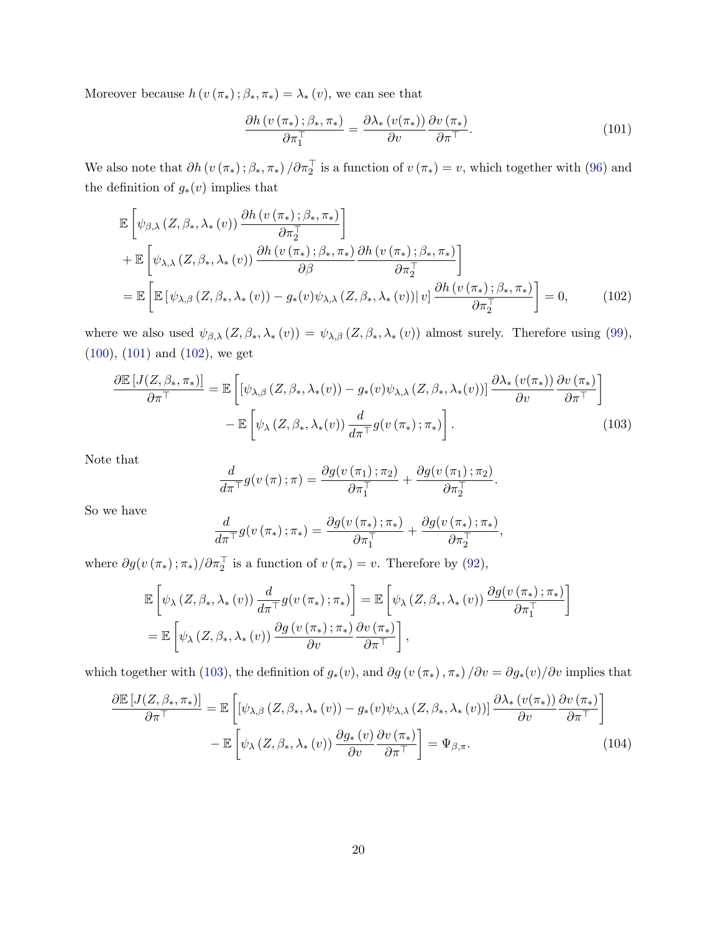Moreover because  $h(v(\pi_*)\,;\beta_*,\pi_*)=\lambda_*(v)$ , we can see that

<span id="page-19-3"></span><span id="page-19-0"></span>
$$
\frac{\partial h\left(v\left(\pi_*\right);\beta_*,\pi_*\right)}{\partial \pi_1^\top} = \frac{\partial \lambda_*\left(v(\pi_*)\right)}{\partial v} \frac{\partial v\left(\pi_*\right)}{\partial \pi^\top}.\tag{101}
$$

We also note that  $\partial h(v(\pi_*); \beta_*, \pi_*) / \partial \pi_2^{\top}$  is a function of  $v(\pi_*) = v$ , which together with [\(96\)](#page-18-4) and the definition of  $g_*(v)$  implies that

$$
\mathbb{E}\left[\psi_{\beta,\lambda}\left(Z,\beta_*,\lambda_*(v)\right)\frac{\partial h\left(v\left(\pi_*\right);\beta_*,\pi_*\right)}{\partial \pi_2^{\top}}\right] \n+ \mathbb{E}\left[\psi_{\lambda,\lambda}\left(Z,\beta_*,\lambda_*(v)\right)\frac{\partial h\left(v\left(\pi_*\right);\beta_*,\pi_*\right)}{\partial \beta}\frac{\partial h\left(v\left(\pi_*\right);\beta_*,\pi_*\right)}{\partial \pi_2^{\top}}\right] \n= \mathbb{E}\left[\mathbb{E}\left[\psi_{\lambda,\beta}\left(Z,\beta_*,\lambda_*(v)\right)-g_*(v)\psi_{\lambda,\lambda}\left(Z,\beta_*,\lambda_*(v)\right)|v\right]\frac{\partial h\left(v\left(\pi_*\right);\beta_*,\pi_*\right)}{\partial \pi_2^{\top}}\right] = 0, \quad (102)
$$

where we also used  $\psi_{\beta,\lambda}(Z,\beta_*,\lambda_*(v)) = \psi_{\lambda,\beta}(Z,\beta_*,\lambda_*(v))$  almost surely. Therefore using [\(99\)](#page-18-0), [\(100\)](#page-18-5), [\(101\)](#page-19-3) and [\(102\)](#page-19-0), we get

$$
\frac{\partial \mathbb{E}\left[J(Z,\beta_*,\pi_*)\right]}{\partial \pi^{\top}} = \mathbb{E}\left[\left[\psi_{\lambda,\beta}\left(Z,\beta_*,\lambda_*(v)\right) - g_*(v)\psi_{\lambda,\lambda}\left(Z,\beta_*,\lambda_*(v)\right)\right] \frac{\partial \lambda_*\left(v(\pi_*)\right)}{\partial v} \frac{\partial v(\pi_*)}{\partial \pi^{\top}}\right] - \mathbb{E}\left[\psi_{\lambda}\left(Z,\beta_*,\lambda_*(v)\right) \frac{d}{d\pi^{\top}} g(v(\pi_*);\pi_*)\right].
$$
\n(103)

Note that

<span id="page-19-1"></span>
$$
\frac{d}{d\pi\tau}g(v(\pi);\pi)=\frac{\partial g(v(\pi_1);\pi_2)}{\partial \pi_1^{\top}}+\frac{\partial g(v(\pi_1);\pi_2)}{\partial \pi_2^{\top}}.
$$

So we have

<span id="page-19-2"></span>
$$
\frac{d}{d\pi^{\top}}g(v(\pi_*); \pi_*) = \frac{\partial g(v(\pi_*); \pi_*)}{\partial \pi_1^{\top}} + \frac{\partial g(v(\pi_*); \pi_*)}{\partial \pi_2^{\top}},
$$

where  $\partial g(v(\pi_*);\pi_*)/\partial \pi_2^{\top}$  is a function of  $v(\pi_*)=v$ . Therefore by [\(92\)](#page-17-4),

$$
\mathbb{E}\left[\psi_{\lambda}\left(Z,\beta_{*},\lambda_{*}\left(v\right)\right)\frac{d}{d\pi}\tau g(v\left(\pi_{*}\right);\pi_{*})\right] = \mathbb{E}\left[\psi_{\lambda}\left(Z,\beta_{*},\lambda_{*}\left(v\right)\right)\frac{\partial g(v\left(\pi_{*}\right);\pi_{*})}{\partial\pi_{1}^{\top}}\right] \n= \mathbb{E}\left[\psi_{\lambda}\left(Z,\beta_{*},\lambda_{*}\left(v\right)\right)\frac{\partial g(v\left(\pi_{*}\right);\pi_{*})}{\partial v}\frac{\partial v\left(\pi_{*}\right)}{\partial\pi^{\top}}\right],
$$

which together with [\(103\)](#page-19-1), the definition of  $g_*(v)$ , and  $\partial g(v(\pi_*) , \pi_*) / \partial v = \partial g_*(v) / \partial v$  implies that

$$
\frac{\partial \mathbb{E}\left[J(Z,\beta_*,\pi_*)\right]}{\partial \pi^{\top}} = \mathbb{E}\left[\left[\psi_{\lambda,\beta}\left(Z,\beta_*,\lambda_*(v)\right) - g_*(v)\psi_{\lambda,\lambda}\left(Z,\beta_*,\lambda_*(v)\right)\right] \frac{\partial \lambda_*(v(\pi_*))}{\partial v} \frac{\partial v(\pi_*)}{\partial \pi^{\top}}\right] - \mathbb{E}\left[\psi_{\lambda}\left(Z,\beta_*,\lambda_*(v)\right) \frac{\partial g_*(v)}{\partial v} \frac{\partial v(\pi_*)}{\partial \pi^{\top}}\right] = \Psi_{\beta,\pi}.
$$
\n(104)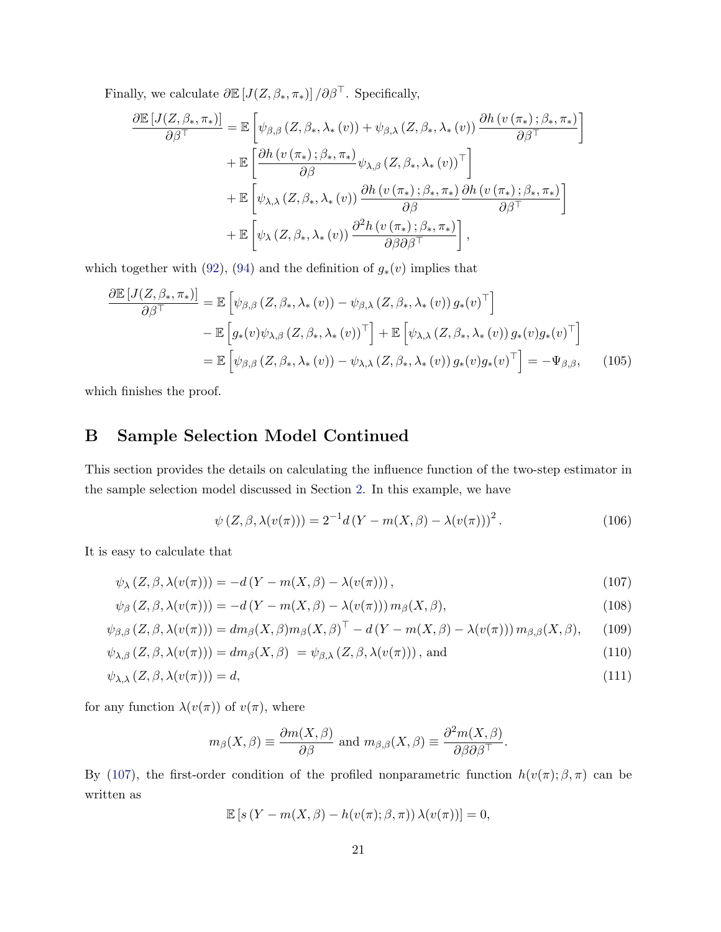Finally, we calculate  $\partial \mathbb{E}\left[J(Z,\beta_*,\pi_*)\right]/\partial \beta^\top.$  Specifically,

$$
\frac{\partial \mathbb{E}\left[J(Z,\beta_*,\pi_*)\right]}{\partial \beta^{\top}} = \mathbb{E}\left[\psi_{\beta,\beta}\left(Z,\beta_*,\lambda_*(v)\right) + \psi_{\beta,\lambda}\left(Z,\beta_*,\lambda_*(v)\right) \frac{\partial h\left(v\left(\pi_*\right);\beta_*,\pi_*\right)}{\partial \beta^{\top}}\right] \n+ \mathbb{E}\left[\frac{\partial h\left(v\left(\pi_*\right);\beta_*,\pi_*\right)}{\partial \beta}\psi_{\lambda,\beta}\left(Z,\beta_*,\lambda_*(v)\right)^{\top}\right] \n+ \mathbb{E}\left[\psi_{\lambda,\lambda}\left(Z,\beta_*,\lambda_*(v)\right) \frac{\partial h\left(v\left(\pi_*\right);\beta_*,\pi_*\right)}{\partial \beta}\frac{\partial h\left(v\left(\pi_*\right);\beta_*,\pi_*\right)}{\partial \beta^{\top}}\right] \n+ \mathbb{E}\left[\psi_{\lambda}\left(Z,\beta_*,\lambda_*(v)\right) \frac{\partial^2 h\left(v\left(\pi_*\right);\beta_*,\pi_*\right)}{\partial \beta \partial \beta^{\top}}\right],
$$

which together with [\(92\)](#page-17-4), [\(94\)](#page-18-2) and the definition of  $g_*(v)$  implies that

$$
\frac{\partial \mathbb{E}\left[J(Z,\beta_*,\pi_*)\right]}{\partial \beta^{\top}} = \mathbb{E}\left[\psi_{\beta,\beta}\left(Z,\beta_*,\lambda_*(v)\right) - \psi_{\beta,\lambda}\left(Z,\beta_*,\lambda_*(v)\right)g_*(v)^{\top}\right] \n- \mathbb{E}\left[g_*(v)\psi_{\lambda,\beta}\left(Z,\beta_*,\lambda_*(v)\right)^{\top}\right] + \mathbb{E}\left[\psi_{\lambda,\lambda}\left(Z,\beta_*,\lambda_*(v)\right)g_*(v)g_*(v)^{\top}\right] \n= \mathbb{E}\left[\psi_{\beta,\beta}\left(Z,\beta_*,\lambda_*(v)\right) - \psi_{\lambda,\lambda}\left(Z,\beta_*,\lambda_*(v)\right)g_*(v)g_*(v)^{\top}\right] = -\Psi_{\beta,\beta}, \quad (105)
$$

which finishes the proof.

## <span id="page-20-0"></span>B Sample Selection Model Continued

This section provides the details on calculating the influence function of the two-step estimator in the sample selection model discussed in Section [2.](#page-2-0) In this example, we have

<span id="page-20-5"></span><span id="page-20-2"></span><span id="page-20-1"></span>
$$
\psi(Z,\beta,\lambda(v(\pi))) = 2^{-1}d(Y - m(X,\beta) - \lambda(v(\pi)))^{2}.
$$
\n(106)

It is easy to calculate that

$$
\psi_{\lambda}(Z,\beta,\lambda(v(\pi))) = -d(Y - m(X,\beta) - \lambda(v(\pi))), \qquad (107)
$$

$$
\psi_{\beta}(Z,\beta,\lambda(v(\pi))) = -d(Y - m(X,\beta) - \lambda(v(\pi))) m_{\beta}(X,\beta), \qquad (108)
$$

$$
\psi_{\beta,\beta}(Z,\beta,\lambda(v(\pi))) = dm_{\beta}(X,\beta)m_{\beta}(X,\beta)^{\top} - d(Y - m(X,\beta) - \lambda(v(\pi))) m_{\beta,\beta}(X,\beta), \quad (109)
$$

$$
\psi_{\lambda,\beta}(Z,\beta,\lambda(v(\pi))) = dm_{\beta}(X,\beta) = \psi_{\beta,\lambda}(Z,\beta,\lambda(v(\pi))), \text{ and}
$$
\n(110)

$$
\psi_{\lambda,\lambda}(Z,\beta,\lambda(v(\pi)))=d,\tag{111}
$$

for any function  $\lambda(v(\pi))$  of  $v(\pi)$ , where

<span id="page-20-4"></span><span id="page-20-3"></span>
$$
m_{\beta}(X,\beta) \equiv \frac{\partial m(X,\beta)}{\partial \beta}
$$
 and  $m_{\beta,\beta}(X,\beta) \equiv \frac{\partial^2 m(X,\beta)}{\partial \beta \partial \beta^{\top}}$ .

By [\(107\)](#page-20-2), the first-order condition of the profiled nonparametric function  $h(v(\pi); \beta, \pi)$  can be written as

$$
\mathbb{E}\left[s\left(Y - m(X,\beta) - h(v(\pi); \beta, \pi)\right)\lambda(v(\pi))\right] = 0,
$$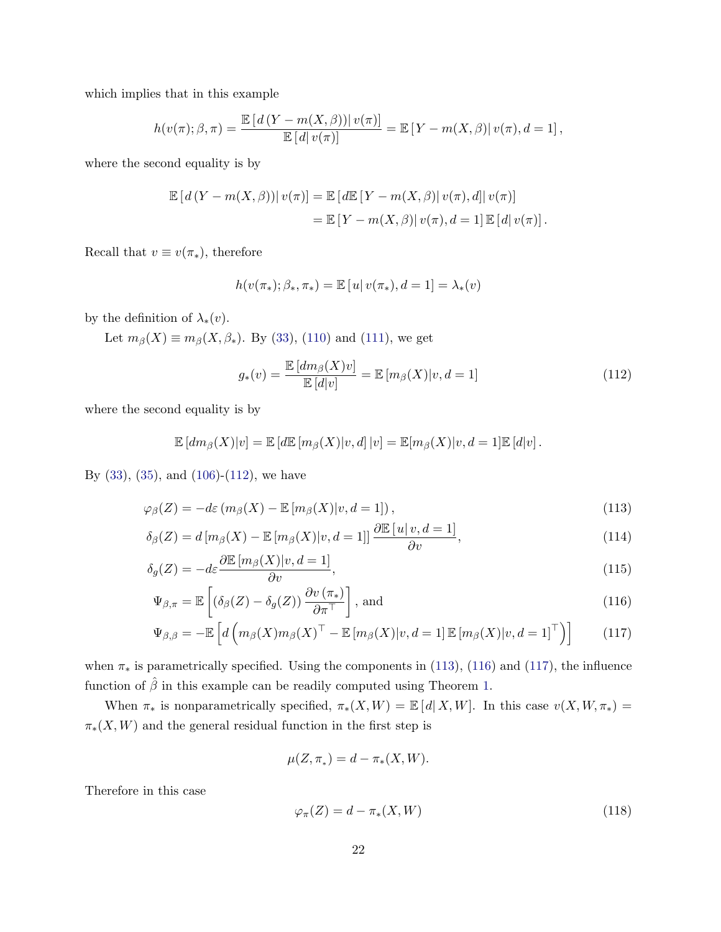which implies that in this example

$$
h(v(\pi); \beta, \pi) = \frac{\mathbb{E}\left[d(Y - m(X, \beta))\right|v(\pi)}{\mathbb{E}\left[d\right|v(\pi)\right]} = \mathbb{E}\left[Y - m(X, \beta)\right|v(\pi), d = 1],
$$

where the second equality is by

$$
\mathbb{E}\left[d(Y - m(X,\beta))\right]v(\pi) = \mathbb{E}\left[d\mathbb{E}\left[Y - m(X,\beta)\right]v(\pi), d\right]v(\pi)
$$
\n
$$
= \mathbb{E}\left[Y - m(X,\beta)\right]v(\pi), d = 1]\mathbb{E}\left[d\right]v(\pi).
$$

Recall that  $v \equiv v(\pi_*)$ , therefore

$$
h(v(\pi_*); \beta_*, \pi_*) = \mathbb{E}[u|v(\pi_*), d = 1] = \lambda_*(v)
$$

by the definition of  $\lambda_*(v)$ .

Let  $m_{\beta}(X) \equiv m_{\beta}(X, \beta_*)$ . By [\(33\)](#page-8-3), [\(110\)](#page-20-3) and [\(111\)](#page-20-4), we get

<span id="page-21-1"></span><span id="page-21-0"></span>
$$
g_*(v) = \frac{\mathbb{E}\left[dm_\beta(X)v\right]}{\mathbb{E}\left[d|v\right]} = \mathbb{E}\left[m_\beta(X)|v, d=1\right]
$$
\n(112)

where the second equality is by

$$
\mathbb{E}[dm_{\beta}(X)|v] = \mathbb{E}[d\mathbb{E}[m_{\beta}(X)|v,d]|v] = \mathbb{E}[m_{\beta}(X)|v,d=1]\mathbb{E}[d|v].
$$

By [\(33\)](#page-8-3), [\(35\)](#page-8-4), and [\(106\)](#page-20-5)-[\(112\)](#page-21-0), we have

$$
\varphi_{\beta}(Z) = -d\varepsilon \left( m_{\beta}(X) - \mathbb{E}\left[ m_{\beta}(X) | v, d = 1 \right] \right),\tag{113}
$$

$$
\delta_{\beta}(Z) = d\left[m_{\beta}(X) - \mathbb{E}\left[m_{\beta}(X)|v, d=1\right]\right] \frac{\partial \mathbb{E}\left[u\right|v, d=1]}{\partial v},\tag{114}
$$

$$
\delta_g(Z) = -d\varepsilon \frac{\partial \mathbb{E}\left[m_\beta(X)|v, d=1\right]}{\partial v},\tag{115}
$$

$$
\Psi_{\beta,\pi} = \mathbb{E}\left[ \left( \delta_{\beta}(Z) - \delta_{g}(Z) \right) \frac{\partial v(\pi_{*})}{\partial \pi^{\top}} \right], \text{ and} \tag{116}
$$

$$
\Psi_{\beta,\beta} = -\mathbb{E}\left[d\left(m_{\beta}(X)m_{\beta}(X)^{\top} - \mathbb{E}\left[m_{\beta}(X)|v,d=1\right]\mathbb{E}\left[m_{\beta}(X)|v,d=1\right]^{\top}\right)\right]
$$
(117)

when  $\pi_*$  is parametrically specified. Using the components in [\(113\)](#page-21-1), [\(116\)](#page-21-2) and [\(117\)](#page-21-3), the influence function of  $\hat{\beta}$  in this example can be readily computed using Theorem [1.](#page-8-0)

When  $\pi_*$  is nonparametrically specified,  $\pi_*(X, W) = \mathbb{E}[d(X, W)]$ . In this case  $v(X, W, \pi_*) =$  $\pi_*(X, W)$  and the general residual function in the first step is

<span id="page-21-5"></span><span id="page-21-4"></span><span id="page-21-3"></span><span id="page-21-2"></span>
$$
\mu(Z, \pi_*) = d - \pi_*(X, W).
$$

Therefore in this case

<span id="page-21-6"></span>
$$
\varphi_{\pi}(Z) = d - \pi_*(X, W) \tag{118}
$$